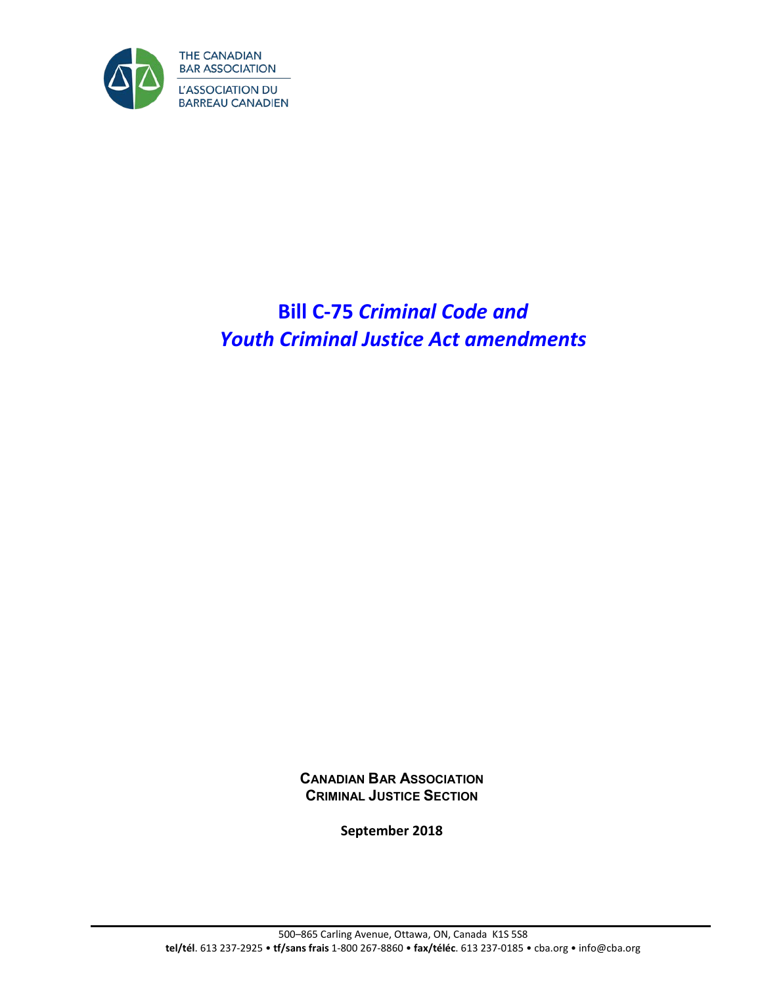

# **Bill C-75** *Criminal Code and Youth Criminal Justice Act amendments*

**CANADIAN BAR ASSOCIATION CRIMINAL JUSTICE SECTION**

**September 2018**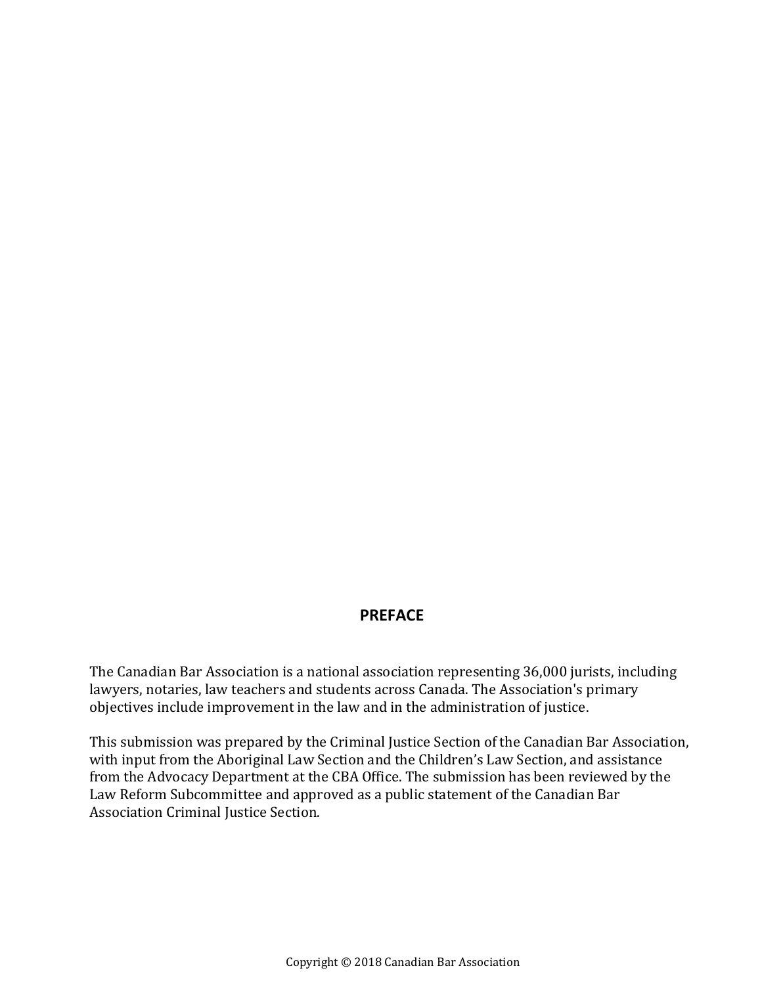## **PREFACE**

The Canadian Bar Association is a national association representing 36,000 jurists, including lawyers, notaries, law teachers and students across Canada. The Association's primary objectives include improvement in the law and in the administration of justice.

This submission was prepared by the Criminal Justice Section of the Canadian Bar Association, with input from the Aboriginal Law Section and the Children's Law Section, and assistance from the Advocacy Department at the CBA Office. The submission has been reviewed by the Law Reform Subcommittee and approved as a public statement of the Canadian Bar Association Criminal Justice Section.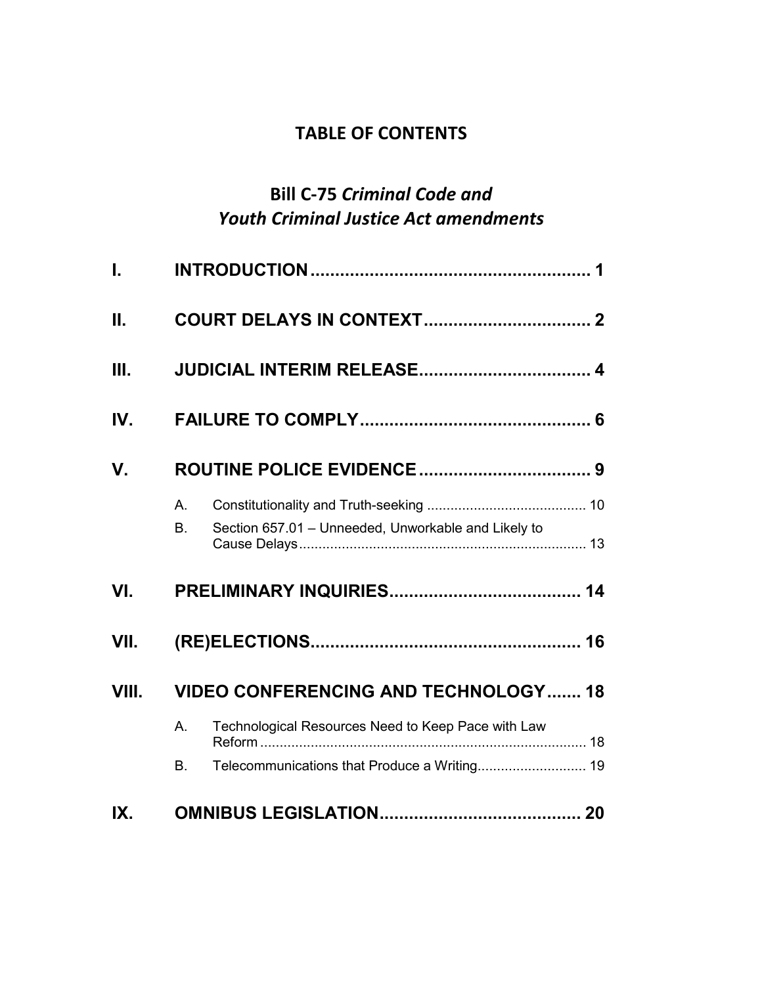# **TABLE OF CONTENTS**

# **Bill C-75** *Criminal Code and Youth Criminal Justice Act amendments*

| $\mathbf{L}$ |                                             |                                                     |  |  |  |
|--------------|---------------------------------------------|-----------------------------------------------------|--|--|--|
| II.          |                                             |                                                     |  |  |  |
| III.         |                                             |                                                     |  |  |  |
| IV.          |                                             |                                                     |  |  |  |
| V.           |                                             |                                                     |  |  |  |
|              | $A_{\cdot}$                                 |                                                     |  |  |  |
|              | B <sub>1</sub>                              | Section 657.01 - Unneeded, Unworkable and Likely to |  |  |  |
| VI.          |                                             |                                                     |  |  |  |
| VII.         |                                             |                                                     |  |  |  |
| VIII.        | <b>VIDEO CONFERENCING AND TECHNOLOGY 18</b> |                                                     |  |  |  |
|              | A.                                          | Technological Resources Need to Keep Pace with Law  |  |  |  |
|              | B.                                          |                                                     |  |  |  |
| IX.          |                                             |                                                     |  |  |  |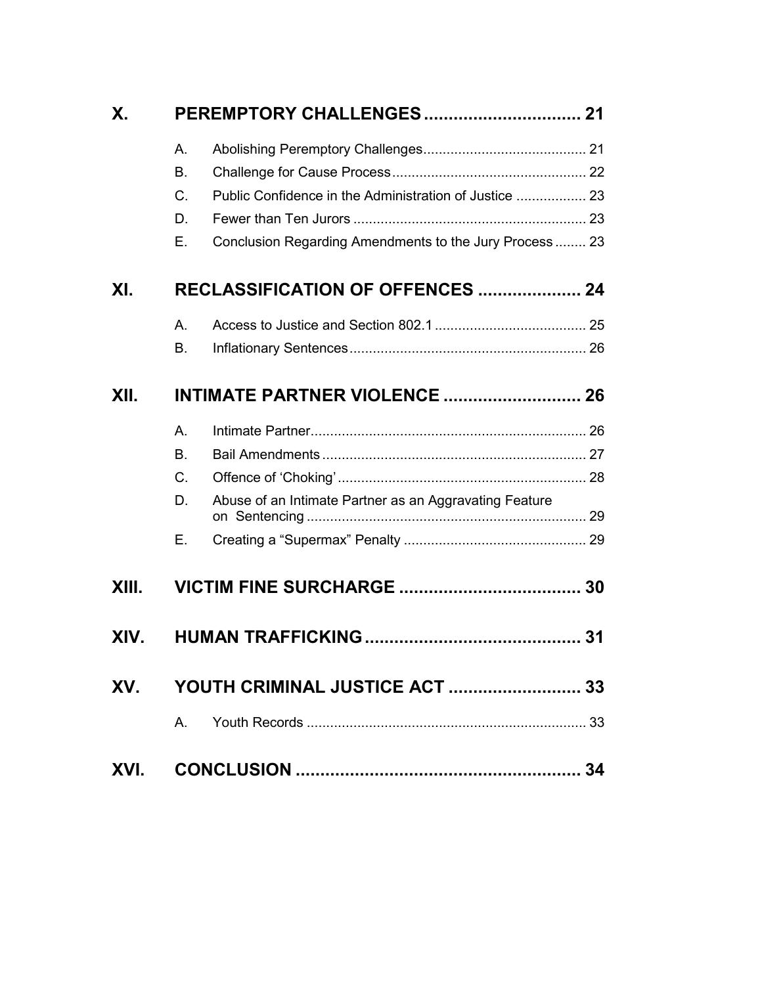| Χ.    | <b>PEREMPTORY CHALLENGES 21</b> |                                                        |  |  |
|-------|---------------------------------|--------------------------------------------------------|--|--|
|       | A.                              |                                                        |  |  |
|       | <b>B.</b>                       |                                                        |  |  |
|       | C.                              | Public Confidence in the Administration of Justice  23 |  |  |
|       | D.                              |                                                        |  |  |
|       | Е.                              | Conclusion Regarding Amendments to the Jury Process 23 |  |  |
| XI.   |                                 | <b>RECLASSIFICATION OF OFFENCES  24</b>                |  |  |
|       | Α.                              |                                                        |  |  |
|       | В.                              |                                                        |  |  |
| XII.  |                                 | <b>INTIMATE PARTNER VIOLENCE  26</b>                   |  |  |
|       | Α.                              |                                                        |  |  |
|       | <b>B.</b>                       |                                                        |  |  |
|       | C.                              |                                                        |  |  |
|       | D.                              | Abuse of an Intimate Partner as an Aggravating Feature |  |  |
|       | Е.                              |                                                        |  |  |
| XIII. |                                 |                                                        |  |  |
| XIV.  |                                 |                                                        |  |  |
| XV.   |                                 |                                                        |  |  |
|       | $A_{1}$                         |                                                        |  |  |
| XVI.  |                                 |                                                        |  |  |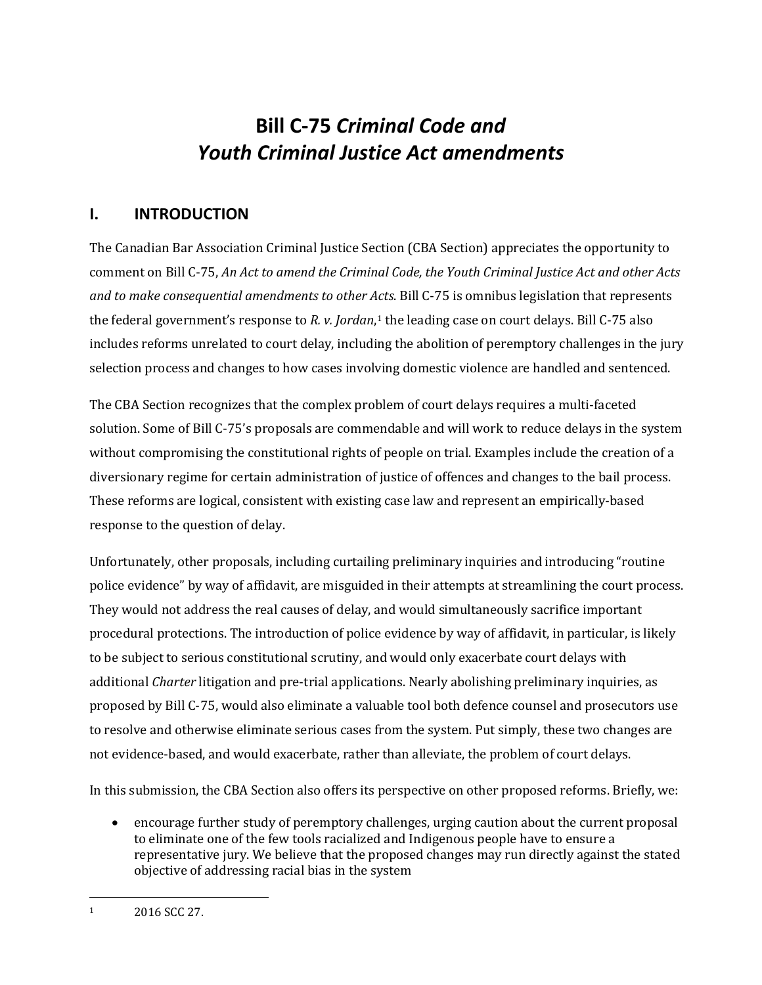# **Bill C-75** *Criminal Code and Youth Criminal Justice Act amendments*

## <span id="page-4-0"></span>**I. INTRODUCTION**

The Canadian Bar Association Criminal Justice Section (CBA Section) appreciates the opportunity to comment on Bill C-75, *An Act to amend the Criminal Code, the Youth Criminal Justice Act and other Acts and to make consequential amendments to other Acts*. Bill C-75 is omnibus legislation that represents the federal government's response to *R. v. Jordan*,<sup>[1](#page-4-1)</sup> the leading case on court delays. Bill C-75 also includes reforms unrelated to court delay, including the abolition of peremptory challenges in the jury selection process and changes to how cases involving domestic violence are handled and sentenced.

The CBA Section recognizes that the complex problem of court delays requires a multi-faceted solution. Some of Bill C-75's proposals are commendable and will work to reduce delays in the system without compromising the constitutional rights of people on trial. Examples include the creation of a diversionary regime for certain administration of justice of offences and changes to the bail process. These reforms are logical, consistent with existing case law and represent an empirically-based response to the question of delay.

Unfortunately, other proposals, including curtailing preliminary inquiries and introducing "routine police evidence" by way of affidavit, are misguided in their attempts at streamlining the court process. They would not address the real causes of delay, and would simultaneously sacrifice important procedural protections. The introduction of police evidence by way of affidavit, in particular, is likely to be subject to serious constitutional scrutiny, and would only exacerbate court delays with additional *Charter* litigation and pre-trial applications. Nearly abolishing preliminary inquiries, as proposed by Bill C-75, would also eliminate a valuable tool both defence counsel and prosecutors use to resolve and otherwise eliminate serious cases from the system. Put simply, these two changes are not evidence-based, and would exacerbate, rather than alleviate, the problem of court delays.

In this submission, the CBA Section also offers its perspective on other proposed reforms. Briefly, we:

• encourage further study of peremptory challenges, urging caution about the current proposal to eliminate one of the few tools racialized and Indigenous people have to ensure a representative jury. We believe that the proposed changes may run directly against the stated objective of addressing racial bias in the system

<span id="page-4-1"></span>

 $\overline{a}$ <sup>1</sup> 2016 SCC 27.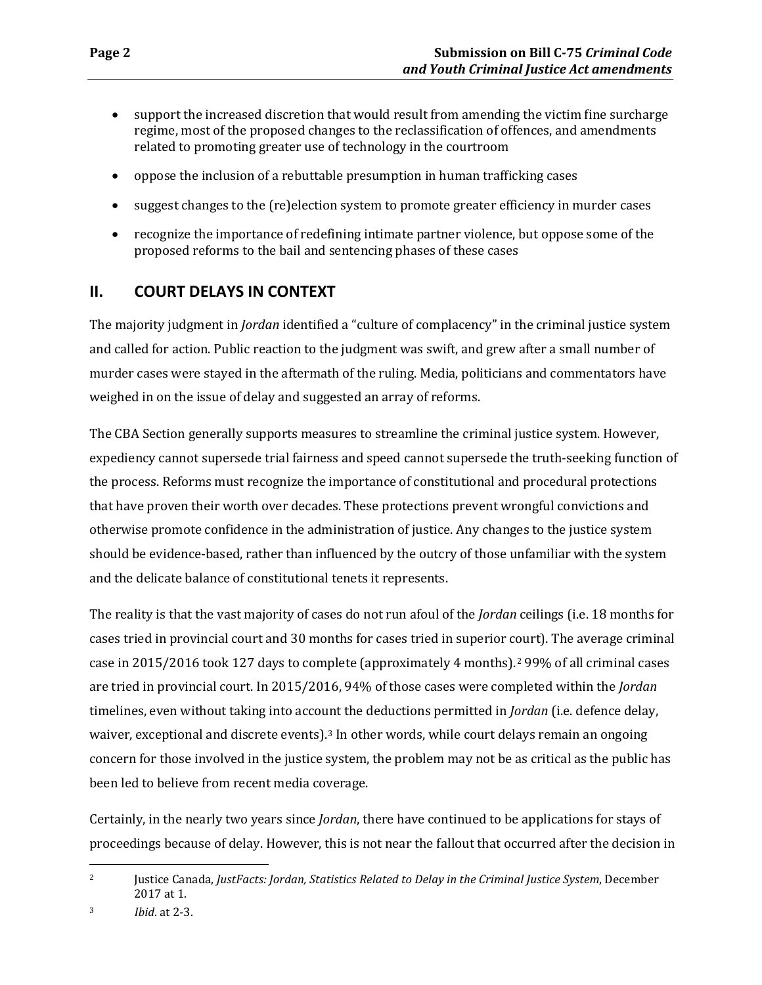- support the increased discretion that would result from amending the victim fine surcharge regime, most of the proposed changes to the reclassification of offences, and amendments related to promoting greater use of technology in the courtroom
- oppose the inclusion of a rebuttable presumption in human trafficking cases
- suggest changes to the (re)election system to promote greater efficiency in murder cases
- recognize the importance of redefining intimate partner violence, but oppose some of the proposed reforms to the bail and sentencing phases of these cases

## <span id="page-5-0"></span>**II. COURT DELAYS IN CONTEXT**

The majority judgment in *Jordan* identified a "culture of complacency" in the criminal justice system and called for action. Public reaction to the judgment was swift, and grew after a small number of murder cases were stayed in the aftermath of the ruling. Media, politicians and commentators have weighed in on the issue of delay and suggested an array of reforms.

The CBA Section generally supports measures to streamline the criminal justice system. However, expediency cannot supersede trial fairness and speed cannot supersede the truth-seeking function of the process. Reforms must recognize the importance of constitutional and procedural protections that have proven their worth over decades. These protections prevent wrongful convictions and otherwise promote confidence in the administration of justice. Any changes to the justice system should be evidence-based, rather than influenced by the outcry of those unfamiliar with the system and the delicate balance of constitutional tenets it represents.

The reality is that the vast majority of cases do not run afoul of the *Jordan* ceilings (i.e. 18 months for cases tried in provincial court and 30 months for cases tried in superior court). The average criminal case in 2015/2016 took 127 days to complete (approximately 4 months).[2](#page-5-1) 99% of all criminal cases are tried in provincial court. In 2015/2016, 94% of those cases were completed within the *Jordan*  timelines, even without taking into account the deductions permitted in *Jordan* (i.e. defence delay, waiver, exceptional and discrete events).<sup>[3](#page-5-2)</sup> In other words, while court delays remain an ongoing concern for those involved in the justice system, the problem may not be as critical as the public has been led to believe from recent media coverage.

Certainly, in the nearly two years since *Jordan*, there have continued to be applications for stays of proceedings because of delay. However, this is not near the fallout that occurred after the decision in

<span id="page-5-2"></span>3 *Ibid*. at 2-3.

<span id="page-5-1"></span> $\overline{a}$ 2 Justice Canada, *JustFacts: Jordan, Statistics Related to Delay in the Criminal Justice System*, December 2017 at 1.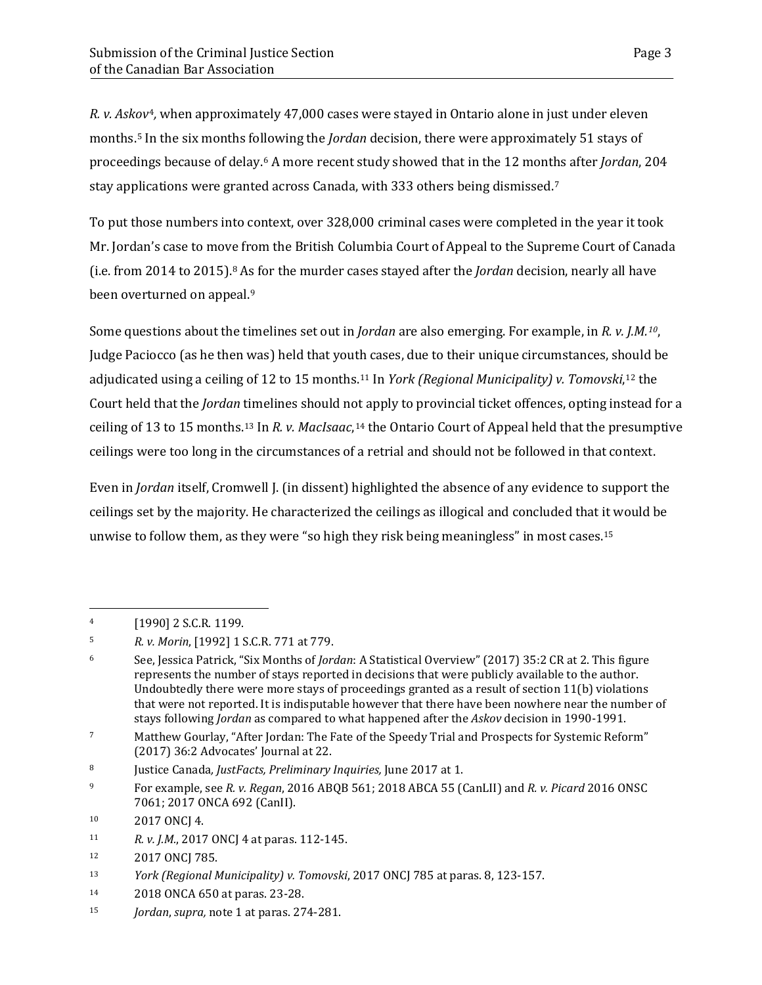*R. v. Askov*[4](#page-6-0)*,* when approximately 47,000 cases were stayed in Ontario alone in just under eleven months[.5](#page-6-1) In the six months following the *Jordan* decision, there were approximately 51 stays of proceedings because of delay.[6](#page-6-2) A more recent study showed that in the 12 months after *Jordan*, 204 stay applications were granted across Canada, with 333 others being dismissed.[7](#page-6-3)

To put those numbers into context, over 328,000 criminal cases were completed in the year it took Mr. Jordan's case to move from the British Columbia Court of Appeal to the Supreme Court of Canada (i.e. from 2014 to 2015).[8](#page-6-4) As for the murder cases stayed after the *Jordan* decision, nearly all have been overturned on appeal.<sup>[9](#page-6-5)</sup>

Some questions about the timelines set out in *Jordan* are also emerging. For example, in *R. v. J.M.[10](#page-6-6)*, Judge Paciocco (as he then was) held that youth cases, due to their unique circumstances, should be adjudicated using a ceiling of 12 to 15 months.[11](#page-6-7) In *York (Regional Municipality) v. Tomovski*,[12](#page-6-8) the Court held that the *Jordan* timelines should not apply to provincial ticket offences, opting instead for a ceiling of 13 to 15 months.[13](#page-6-9) In *R. v. MacIsaac*,[14](#page-6-10) the Ontario Court of Appeal held that the presumptive ceilings were too long in the circumstances of a retrial and should not be followed in that context.

Even in *Jordan* itself, Cromwell J. (in dissent) highlighted the absence of any evidence to support the ceilings set by the majority. He characterized the ceilings as illogical and concluded that it would be unwise to follow them, as they were "so high they risk being meaningless" in most cases.<sup>[15](#page-6-11)</sup>

<span id="page-6-0"></span><sup>4 [1990] 2</sup> S.C.R. 1199.

<span id="page-6-1"></span><sup>5</sup> *R. v. Morin*, [1992] 1 S.C.R. 771 at 779.

<span id="page-6-2"></span><sup>6</sup> See, Jessica Patrick, "Six Months of *Jordan*: A Statistical Overview" (2017) 35:2 CR at 2. This figure represents the number of stays reported in decisions that were publicly available to the author. Undoubtedly there were more stays of proceedings granted as a result of section 11(b) violations that were not reported. It is indisputable however that there have been nowhere near the number of stays following *Jordan* as compared to what happened after the *Askov* decision in 1990-1991.

<span id="page-6-3"></span><sup>7</sup> Matthew Gourlay, "After Jordan: The Fate of the Speedy Trial and Prospects for Systemic Reform" (2017) 36:2 Advocates' Journal at 22.

<span id="page-6-4"></span><sup>8</sup> Justice Canada*, JustFacts, Preliminary Inquiries,* June 2017 at 1.

<span id="page-6-5"></span><sup>9</sup> For example, see *R. v. Regan*, 2016 ABQB 561; 2018 ABCA 55 (CanLII) and *R. v. Picard* 2016 ONSC 7061; 2017 ONCA 692 (CanII).

<span id="page-6-6"></span><sup>10 2017</sup> ONCJ 4.

<span id="page-6-7"></span><sup>11</sup> *R. v. J.M.*, 2017 ONCJ 4 at paras. 112-145.

<span id="page-6-8"></span><sup>12 2017</sup> ONCJ 785.

<span id="page-6-9"></span><sup>13</sup> *York (Regional Municipality) v. Tomovski*, 2017 ONCJ 785 at paras. 8, 123-157.

<span id="page-6-10"></span><sup>14 2018</sup> ONCA 650 at paras. 23-28.

<span id="page-6-11"></span><sup>15</sup> *Jordan*, *supra,* note 1 at paras. 274-281.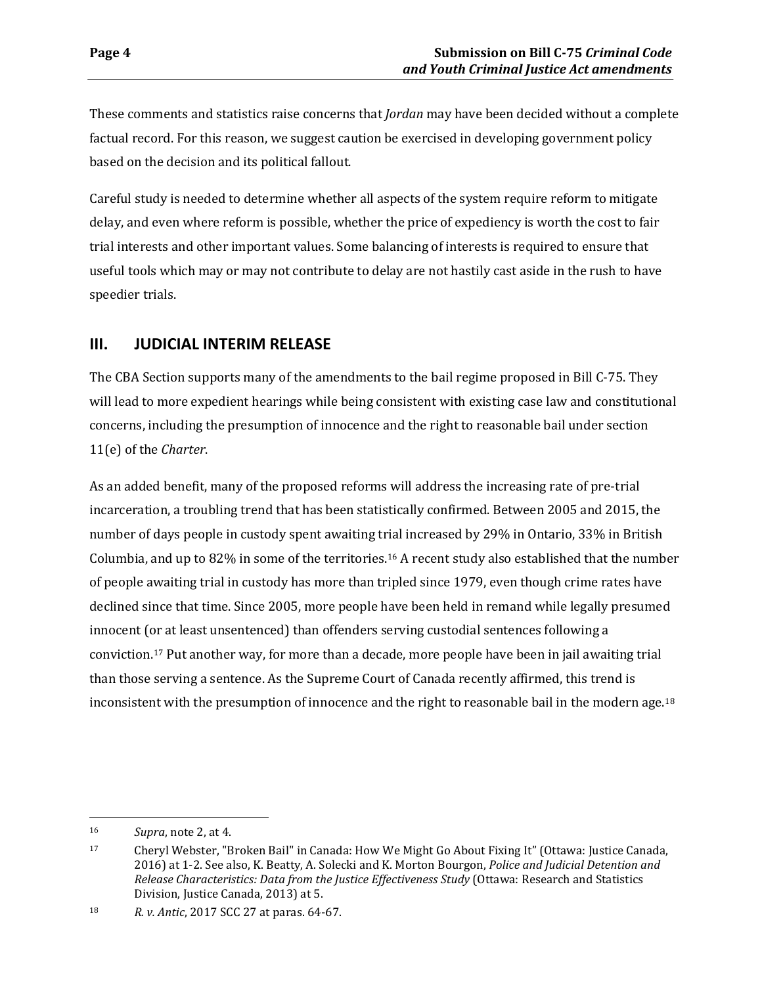These comments and statistics raise concerns that *Jordan* may have been decided without a complete factual record. For this reason, we suggest caution be exercised in developing government policy based on the decision and its political fallout.

Careful study is needed to determine whether all aspects of the system require reform to mitigate delay, and even where reform is possible, whether the price of expediency is worth the cost to fair trial interests and other important values. Some balancing of interests is required to ensure that useful tools which may or may not contribute to delay are not hastily cast aside in the rush to have speedier trials.

### <span id="page-7-0"></span>**III. JUDICIAL INTERIM RELEASE**

The CBA Section supports many of the amendments to the bail regime proposed in Bill C-75. They will lead to more expedient hearings while being consistent with existing case law and constitutional concerns, including the presumption of innocence and the right to reasonable bail under section 11(e) of the *Charter*.

As an added benefit, many of the proposed reforms will address the increasing rate of pre-trial incarceration, a troubling trend that has been statistically confirmed. Between 2005 and 2015, the number of days people in custody spent awaiting trial increased by 29% in Ontario, 33% in British Columbia, and up to 82% in some of the territories.[16](#page-7-1) A recent study also established that the number of people awaiting trial in custody has more than tripled since 1979, even though crime rates have declined since that time. Since 2005, more people have been held in remand while legally presumed innocent (or at least unsentenced) than offenders serving custodial sentences following a conviction.[17](#page-7-2) Put another way, for more than a decade, more people have been in jail awaiting trial than those serving a sentence. As the Supreme Court of Canada recently affirmed, this trend is inconsistent with the presumption of innocence and the right to reasonable bail in the modern age.<sup>[18](#page-7-3)</sup>

<span id="page-7-1"></span><sup>16</sup> *Supra*, note 2, at 4.

<span id="page-7-2"></span><sup>17</sup> Cheryl Webster, "Broken Bail" in Canada: How We Might Go About Fixing It" (Ottawa: Justice Canada, 2016) at 1-2. See also, K. Beatty, A. Solecki and K. Morton Bourgon, *Police and Judicial Detention and Release Characteristics: Data from the Justice Effectiveness Study* (Ottawa: Research and Statistics Division, Justice Canada, 2013) at 5.

<span id="page-7-3"></span><sup>18</sup> *R. v. Antic*, 2017 SCC 27 at paras. 64-67.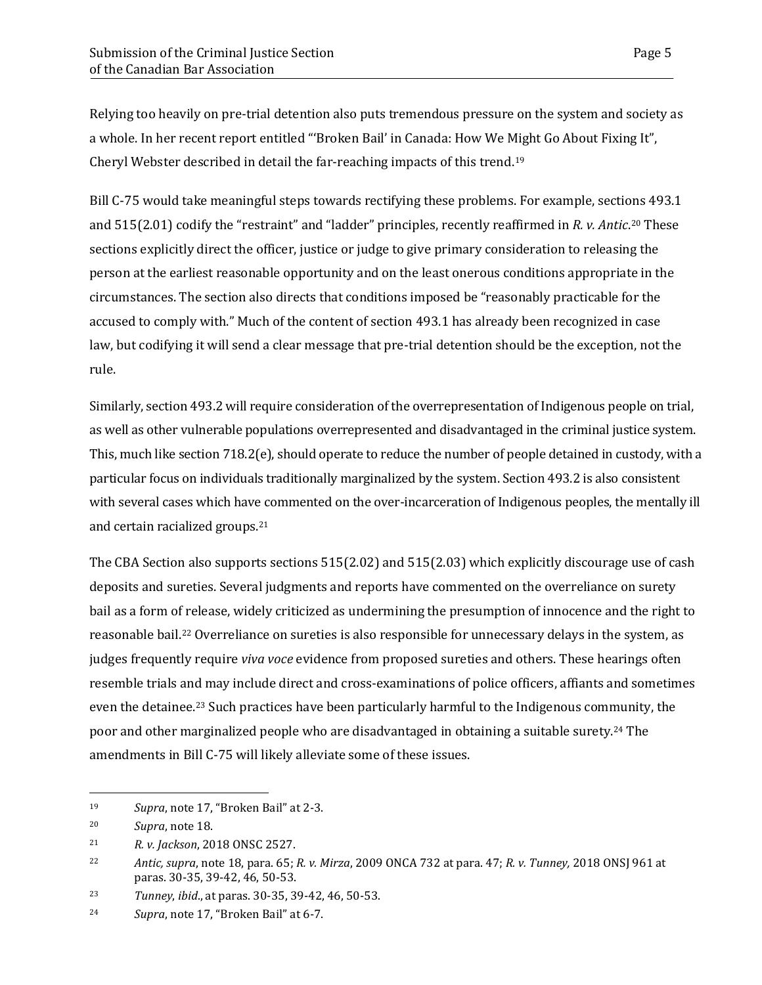Relying too heavily on pre-trial detention also puts tremendous pressure on the system and society as a whole. In her recent report entitled "'Broken Bail' in Canada: How We Might Go About Fixing It", Cheryl Webster described in detail the far-reaching impacts of this trend.[19](#page-8-0)

Bill C-75 would take meaningful steps towards rectifying these problems. For example, sections 493.1 and 515(2.01) codify the "restraint" and "ladder" principles, recently reaffirmed in *R. v. Antic*.[20](#page-8-1) These sections explicitly direct the officer, justice or judge to give primary consideration to releasing the person at the earliest reasonable opportunity and on the least onerous conditions appropriate in the circumstances. The section also directs that conditions imposed be "reasonably practicable for the accused to comply with." Much of the content of section 493.1 has already been recognized in case law, but codifying it will send a clear message that pre-trial detention should be the exception, not the rule.

Similarly, section 493.2 will require consideration of the overrepresentation of Indigenous people on trial, as well as other vulnerable populations overrepresented and disadvantaged in the criminal justice system. This, much like section 718.2(e), should operate to reduce the number of people detained in custody, with a particular focus on individuals traditionally marginalized by the system. Section 493.2 is also consistent with several cases which have commented on the over-incarceration of Indigenous peoples, the mentally ill and certain racialized groups.[21](#page-8-2)

The CBA Section also supports sections 515(2.02) and 515(2.03) which explicitly discourage use of cash deposits and sureties. Several judgments and reports have commented on the overreliance on surety bail as a form of release, widely criticized as undermining the presumption of innocence and the right to reasonable bail.[22](#page-8-3) Overreliance on sureties is also responsible for unnecessary delays in the system, as judges frequently require *viva voce* evidence from proposed sureties and others. These hearings often resemble trials and may include direct and cross-examinations of police officers, affiants and sometimes even the detainee.[23](#page-8-4) Such practices have been particularly harmful to the Indigenous community, the poor and other marginalized people who are disadvantaged in obtaining a suitable surety[.24](#page-8-5) The amendments in Bill C-75 will likely alleviate some of these issues.

<span id="page-8-0"></span><sup>19</sup> *Supra*, note 17, "Broken Bail" at 2-3.

<span id="page-8-1"></span><sup>20</sup> *Supra*, note 18.

<span id="page-8-2"></span><sup>21</sup> *R. v. Jackson*, 2018 ONSC 2527.

<span id="page-8-3"></span><sup>22</sup> *Antic, supra*, note 18, para. 65; *R. v. Mirza*, 2009 ONCA 732 at para. 47; *R. v. Tunney,* 2018 ONSJ 961 at paras. 30-35, 39-42, 46, 50-53.

<span id="page-8-4"></span><sup>23</sup> *Tunney*, *ibid*., at paras. 30-35, 39-42, 46, 50-53.

<span id="page-8-5"></span><sup>24</sup> *Supra*, note 17, "Broken Bail" at 6-7.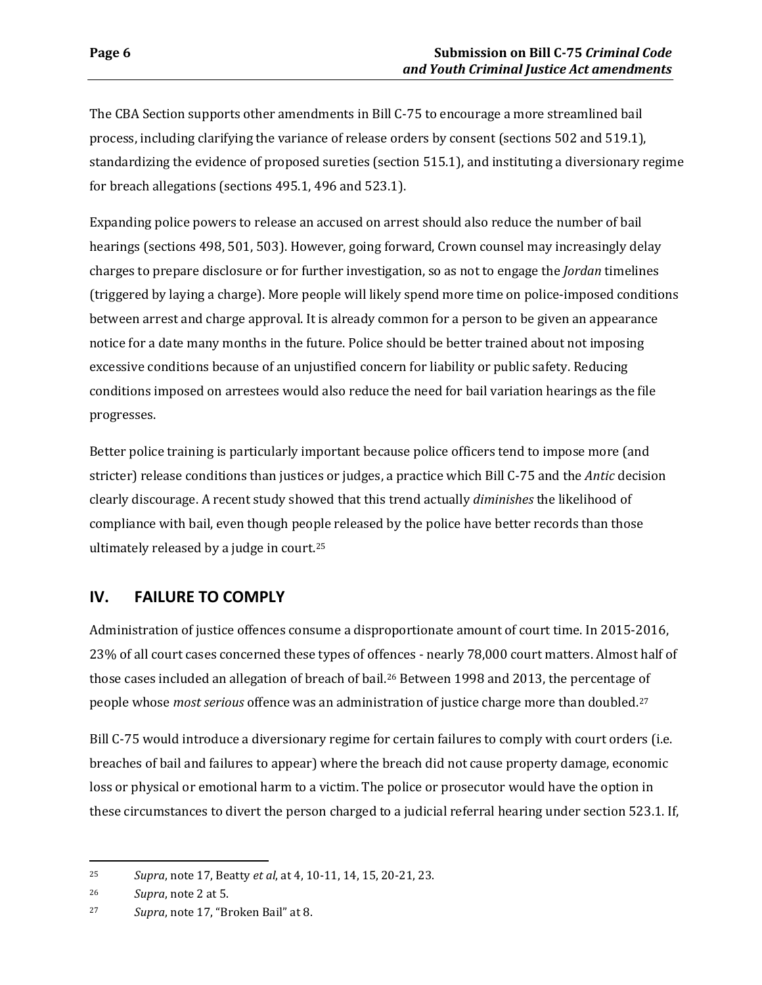The CBA Section supports other amendments in Bill C-75 to encourage a more streamlined bail process, including clarifying the variance of release orders by consent (sections 502 and 519.1), standardizing the evidence of proposed sureties (section 515.1), and instituting a diversionary regime for breach allegations (sections 495.1, 496 and 523.1).

Expanding police powers to release an accused on arrest should also reduce the number of bail hearings (sections 498, 501, 503). However, going forward, Crown counsel may increasingly delay charges to prepare disclosure or for further investigation, so as not to engage the *Jordan* timelines (triggered by laying a charge). More people will likely spend more time on police-imposed conditions between arrest and charge approval. It is already common for a person to be given an appearance notice for a date many months in the future. Police should be better trained about not imposing excessive conditions because of an unjustified concern for liability or public safety. Reducing conditions imposed on arrestees would also reduce the need for bail variation hearings as the file progresses.

Better police training is particularly important because police officers tend to impose more (and stricter) release conditions than justices or judges, a practice which Bill C-75 and the *Antic* decision clearly discourage. A recent study showed that this trend actually *diminishes* the likelihood of compliance with bail, even though people released by the police have better records than those ultimately released by a judge in court.[25](#page-9-1)

# <span id="page-9-0"></span>**IV. FAILURE TO COMPLY**

Administration of justice offences consume a disproportionate amount of court time. In 2015-2016, 23% of all court cases concerned these types of offences - nearly 78,000 court matters. Almost half of those cases included an allegation of breach of bail.[26](#page-9-2) Between 1998 and 2013, the percentage of people whose *most serious* offence was an administration of justice charge more than doubled.[27](#page-9-3)

Bill C-75 would introduce a diversionary regime for certain failures to comply with court orders (i.e. breaches of bail and failures to appear) where the breach did not cause property damage, economic loss or physical or emotional harm to a victim. The police or prosecutor would have the option in these circumstances to divert the person charged to a judicial referral hearing under section 523.1. If,

<span id="page-9-1"></span><sup>25</sup> *Supra*, note 17, Beatty *et al*, at 4, 10-11, 14, 15, 20-21, 23.

<span id="page-9-2"></span><sup>26</sup> *Supra*, note 2 at 5.

<span id="page-9-3"></span><sup>27</sup> *Supra*, note 17, "Broken Bail" at 8.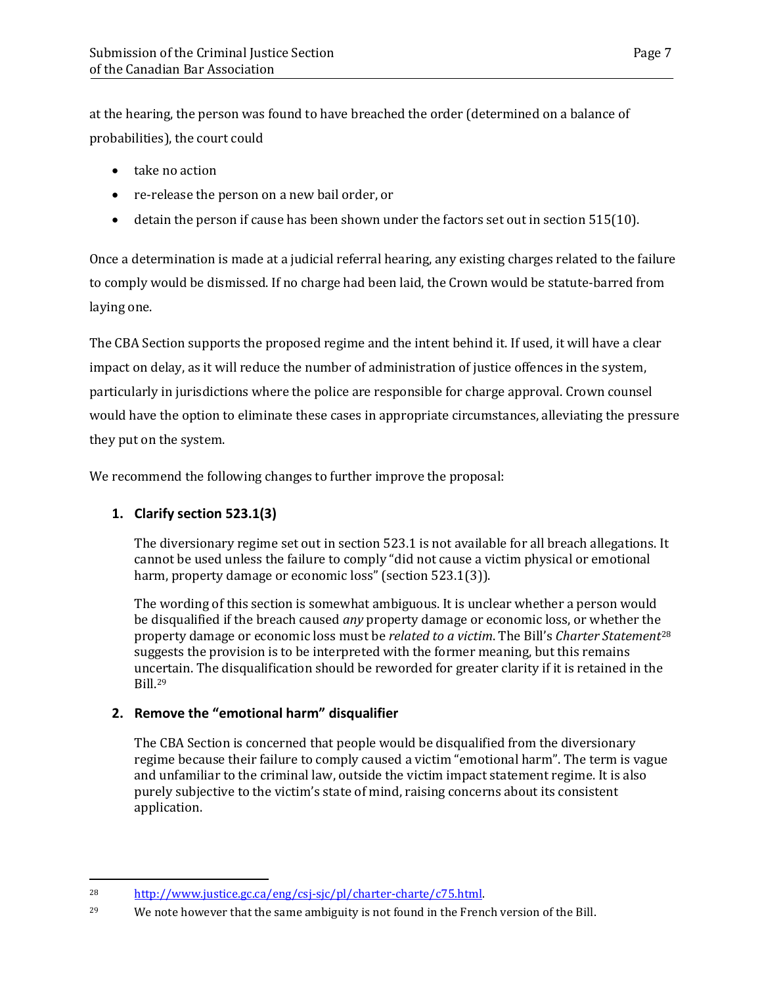at the hearing, the person was found to have breached the order (determined on a balance of probabilities), the court could

- take no action
- re-release the person on a new bail order, or
- detain the person if cause has been shown under the factors set out in section 515(10).

Once a determination is made at a judicial referral hearing, any existing charges related to the failure to comply would be dismissed. If no charge had been laid, the Crown would be statute-barred from laying one.

The CBA Section supports the proposed regime and the intent behind it. If used, it will have a clear impact on delay, as it will reduce the number of administration of justice offences in the system, particularly in jurisdictions where the police are responsible for charge approval. Crown counsel would have the option to eliminate these cases in appropriate circumstances, alleviating the pressure they put on the system.

We recommend the following changes to further improve the proposal:

### **1. Clarify section 523.1(3)**

 $\overline{a}$ 

The diversionary regime set out in section 523.1 is not available for all breach allegations. It cannot be used unless the failure to comply "did not cause a victim physical or emotional harm, property damage or economic loss" (section 523.1(3)).

The wording of this section is somewhat ambiguous. It is unclear whether a person would be disqualified if the breach caused *any* property damage or economic loss, or whether the property damage or economic loss must be *related to a victim*. The Bill's *Charter Statement*[28](#page-10-0) suggests the provision is to be interpreted with the former meaning, but this remains uncertain. The disqualification should be reworded for greater clarity if it is retained in the Bill[.29](#page-10-1)

### **2. Remove the "emotional harm" disqualifier**

The CBA Section is concerned that people would be disqualified from the diversionary regime because their failure to comply caused a victim "emotional harm". The term is vague and unfamiliar to the criminal law, outside the victim impact statement regime. It is also purely subjective to the victim's state of mind, raising concerns about its consistent application.

<span id="page-10-0"></span><sup>28</sup> [http://www.justice.gc.ca/eng/csj-sjc/pl/charter-charte/c75.html.](http://www.justice.gc.ca/eng/csj-sjc/pl/charter-charte/c75.html) 

<span id="page-10-1"></span><sup>&</sup>lt;sup>29</sup> We note however that the same ambiguity is not found in the French version of the Bill.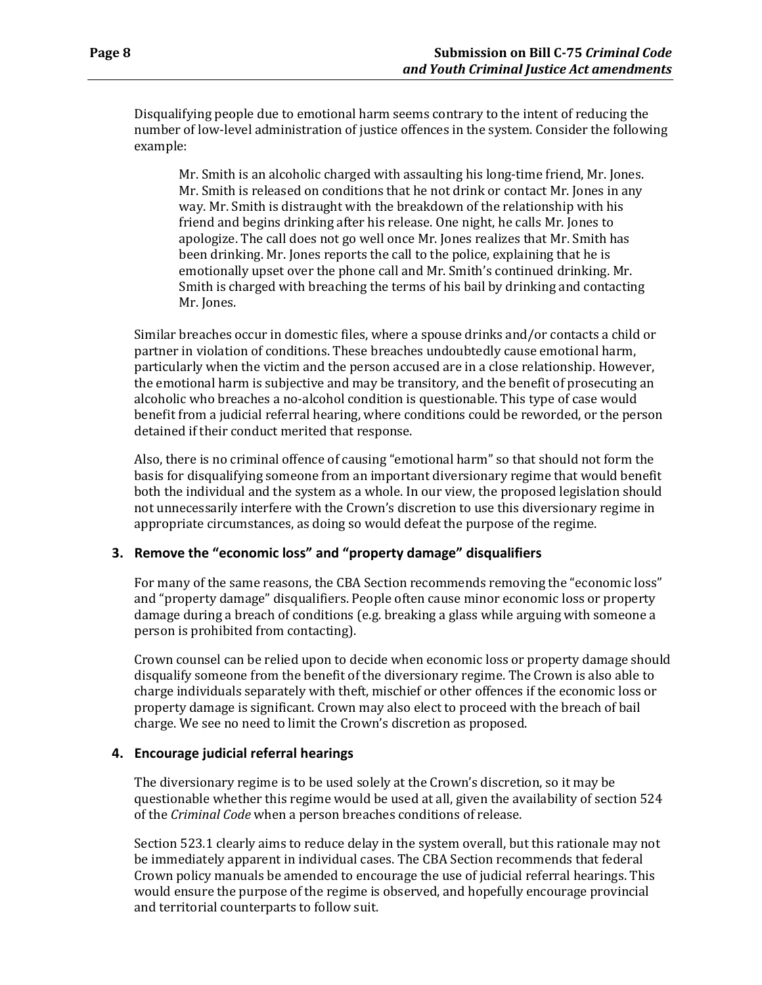Disqualifying people due to emotional harm seems contrary to the intent of reducing the number of low-level administration of justice offences in the system. Consider the following example:

Mr. Smith is an alcoholic charged with assaulting his long-time friend, Mr. Jones. Mr. Smith is released on conditions that he not drink or contact Mr. Jones in any way. Mr. Smith is distraught with the breakdown of the relationship with his friend and begins drinking after his release. One night, he calls Mr. Jones to apologize. The call does not go well once Mr. Jones realizes that Mr. Smith has been drinking. Mr. Jones reports the call to the police, explaining that he is emotionally upset over the phone call and Mr. Smith's continued drinking. Mr. Smith is charged with breaching the terms of his bail by drinking and contacting Mr. Jones.

Similar breaches occur in domestic files, where a spouse drinks and/or contacts a child or partner in violation of conditions. These breaches undoubtedly cause emotional harm, particularly when the victim and the person accused are in a close relationship. However, the emotional harm is subjective and may be transitory, and the benefit of prosecuting an alcoholic who breaches a no-alcohol condition is questionable. This type of case would benefit from a judicial referral hearing, where conditions could be reworded, or the person detained if their conduct merited that response.

Also, there is no criminal offence of causing "emotional harm" so that should not form the basis for disqualifying someone from an important diversionary regime that would benefit both the individual and the system as a whole. In our view, the proposed legislation should not unnecessarily interfere with the Crown's discretion to use this diversionary regime in appropriate circumstances, as doing so would defeat the purpose of the regime.

#### **3. Remove the "economic loss" and "property damage" disqualifiers**

For many of the same reasons, the CBA Section recommends removing the "economic loss" and "property damage" disqualifiers. People often cause minor economic loss or property damage during a breach of conditions (e.g. breaking a glass while arguing with someone a person is prohibited from contacting).

Crown counsel can be relied upon to decide when economic loss or property damage should disqualify someone from the benefit of the diversionary regime. The Crown is also able to charge individuals separately with theft, mischief or other offences if the economic loss or property damage is significant. Crown may also elect to proceed with the breach of bail charge. We see no need to limit the Crown's discretion as proposed.

#### **4. Encourage judicial referral hearings**

The diversionary regime is to be used solely at the Crown's discretion, so it may be questionable whether this regime would be used at all, given the availability of section 524 of the *Criminal Code* when a person breaches conditions of release.

Section 523.1 clearly aims to reduce delay in the system overall, but this rationale may not be immediately apparent in individual cases. The CBA Section recommends that federal Crown policy manuals be amended to encourage the use of judicial referral hearings. This would ensure the purpose of the regime is observed, and hopefully encourage provincial and territorial counterparts to follow suit.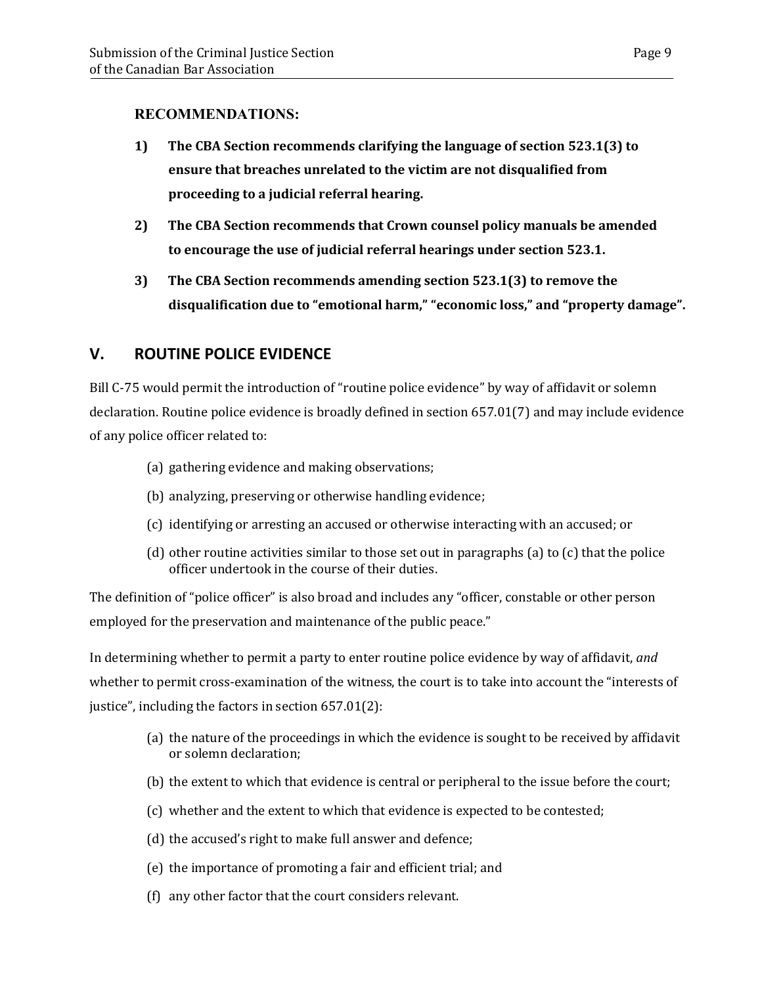### **RECOMMENDATIONS:**

- **1) The CBA Section recommends clarifying the language of section 523.1(3) to ensure that breaches unrelated to the victim are not disqualified from proceeding to a judicial referral hearing.**
- **2) The CBA Section recommends that Crown counsel policy manuals be amended to encourage the use of judicial referral hearings under section 523.1.**
- **3) The CBA Section recommends amending section 523.1(3) to remove the disqualification due to "emotional harm," "economic loss," and "property damage".**

### <span id="page-12-0"></span>**V. ROUTINE POLICE EVIDENCE**

Bill C-75 would permit the introduction of "routine police evidence" by way of affidavit or solemn declaration. Routine police evidence is broadly defined in section 657.01(7) and may include evidence of any police officer related to:

- (a) gathering evidence and making observations;
- (b) analyzing, preserving or otherwise handling evidence;
- (c) identifying or arresting an accused or otherwise interacting with an accused; or
- (d) other routine activities similar to those set out in paragraphs (a) to (c) that the police officer undertook in the course of their duties.

The definition of "police officer" is also broad and includes any "officer, constable or other person employed for the preservation and maintenance of the public peace."

In determining whether to permit a party to enter routine police evidence by way of affidavit, *and* whether to permit cross-examination of the witness, the court is to take into account the "interests of justice", including the factors in section 657.01(2):

- (a) the nature of the proceedings in which the evidence is sought to be received by affidavit or solemn declaration;
- (b) the extent to which that evidence is central or peripheral to the issue before the court;
- (c) whether and the extent to which that evidence is expected to be contested;
- (d) the accused's right to make full answer and defence;
- (e) the importance of promoting a fair and efficient trial; and
- (f) any other factor that the court considers relevant.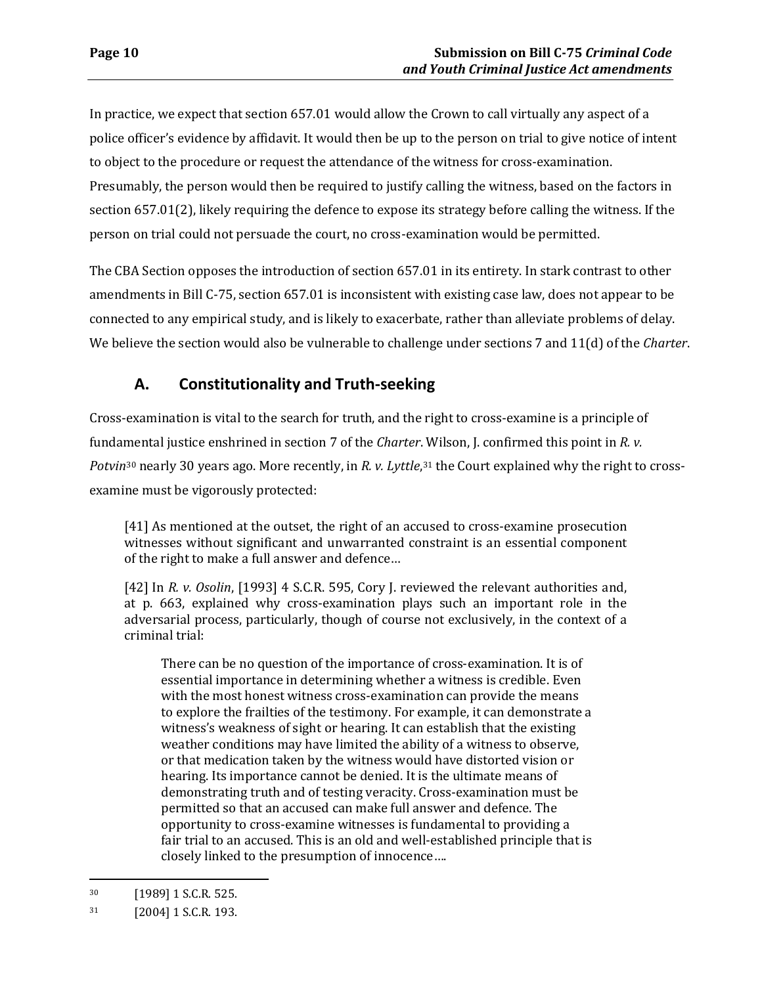In practice, we expect that section 657.01 would allow the Crown to call virtually any aspect of a police officer's evidence by affidavit. It would then be up to the person on trial to give notice of intent to object to the procedure or request the attendance of the witness for cross-examination. Presumably, the person would then be required to justify calling the witness, based on the factors in section 657.01(2), likely requiring the defence to expose its strategy before calling the witness. If the person on trial could not persuade the court, no cross-examination would be permitted.

The CBA Section opposes the introduction of section 657.01 in its entirety. In stark contrast to other amendments in Bill C-75, section 657.01 is inconsistent with existing case law, does not appear to be connected to any empirical study, and is likely to exacerbate, rather than alleviate problems of delay. We believe the section would also be vulnerable to challenge under sections 7 and 11(d) of the *Charter*.

# **A. Constitutionality and Truth-seeking**

<span id="page-13-0"></span>Cross-examination is vital to the search for truth, and the right to cross-examine is a principle of funda[me](#page-13-1)ntal justice enshrined in section 7 of the *Charter*. Wilson, J. confirmed this point in *R. v. Potvin*<sup>30</sup> nearly 30 years ago. More recently, in *R. v. Lyttle*,<sup>[31](#page-13-2)</sup> the Court explained why the right to crossexamine must be vigorously protected:

[41] As mentioned at the outset, the right of an accused to cross-examine prosecution witnesses without significant and unwarranted constraint is an essential component of the right to make a full answer and defence…

[42] In *R. v. Osolin*, [1993] 4 S.C.R. 595, Cory J. reviewed the relevant authorities and, at p. 663, explained why cross-examination plays such an important role in the adversarial process, particularly, though of course not exclusively, in the context of a criminal trial:

There can be no question of the importance of cross-examination. It is of essential importance in determining whether a witness is credible. Even with the most honest witness cross-examination can provide the means to explore the frailties of the testimony. For example, it can demonstrate a witness's weakness of sight or hearing. It can establish that the existing weather conditions may have limited the ability of a witness to observe, or that medication taken by the witness would have distorted vision or hearing. Its importance cannot be denied. It is the ultimate means of demonstrating truth and of testing veracity. Cross-examination must be permitted so that an accused can make full answer and defence. The opportunity to cross-examine witnesses is fundamental to providing a fair trial to an accused. This is an old and well-established principle that is closely linked to the presumption of innocence….

<span id="page-13-1"></span><sup>30 [1989] 1</sup> S.C.R. 525.

<span id="page-13-2"></span><sup>31 [2004] 1</sup> S.C.R. 193.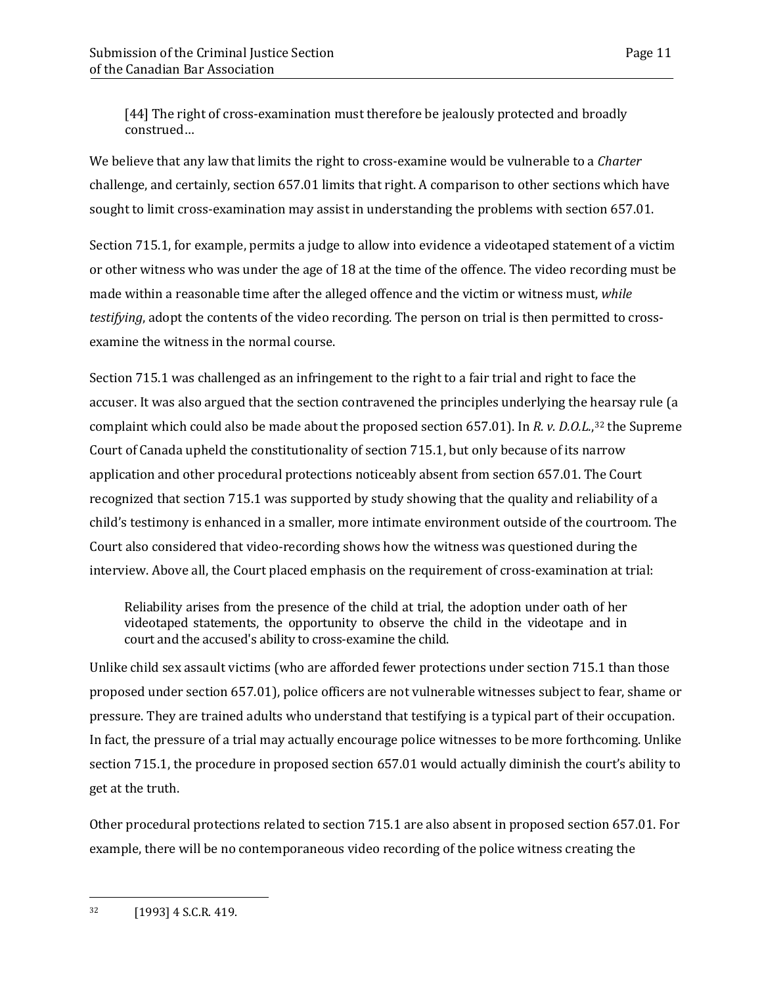[44] The right of cross-examination must therefore be jealously protected and broadly construed…

We believe that any law that limits the right to cross-examine would be vulnerable to a *Charter*  challenge, and certainly, section 657.01 limits that right. A comparison to other sections which have sought to limit cross-examination may assist in understanding the problems with section 657.01.

Section 715.1, for example, permits a judge to allow into evidence a videotaped statement of a victim or other witness who was under the age of 18 at the time of the offence. The video recording must be made within a reasonable time after the alleged offence and the victim or witness must, *while testifying*, adopt the contents of the video recording. The person on trial is then permitted to crossexamine the witness in the normal course.

Section 715.1 was challenged as an infringement to the right to a fair trial and right to face the accuser. It was also argued that the section contravened the principles underlying the hearsay rule (a complaint which could also be made about the proposed section 657.01). In *R. v. D.O.L.*,[32](#page-14-0) the Supreme Court of Canada upheld the constitutionality of section 715.1, but only because of its narrow application and other procedural protections noticeably absent from section 657.01. The Court recognized that section 715.1 was supported by study showing that the quality and reliability of a child's testimony is enhanced in a smaller, more intimate environment outside of the courtroom. The Court also considered that video-recording shows how the witness was questioned during the interview. Above all, the Court placed emphasis on the requirement of cross-examination at trial:

Reliability arises from the presence of the child at trial, the adoption under oath of her videotaped statements, the opportunity to observe the child in the videotape and in court and the accused's ability to cross-examine the child.

Unlike child sex assault victims (who are afforded fewer protections under section 715.1 than those proposed under section 657.01), police officers are not vulnerable witnesses subject to fear, shame or pressure. They are trained adults who understand that testifying is a typical part of their occupation. In fact, the pressure of a trial may actually encourage police witnesses to be more forthcoming. Unlike section 715.1, the procedure in proposed section 657.01 would actually diminish the court's ability to get at the truth.

Other procedural protections related to section 715.1 are also absent in proposed section 657.01. For example, there will be no contemporaneous video recording of the police witness creating the

<span id="page-14-0"></span> $\overline{a}$ 32 [1993] 4 S.C.R. 419.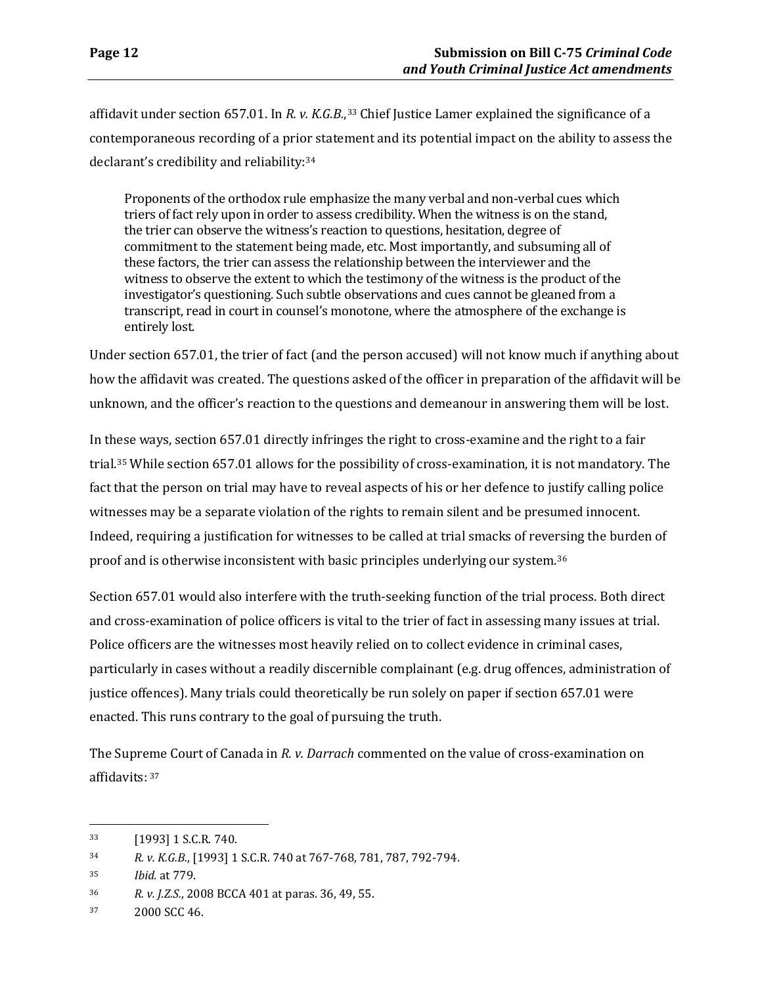affidavit under section 657.01. In *R. v. K.G.B.*,[33](#page-15-0) Chief Justice Lamer explained the significance of a contemporaneous recording of a prior statement and its potential impact on the ability to assess the declarant's credibility and reliability:[34](#page-15-1)

Proponents of the orthodox rule emphasize the many verbal and non-verbal cues which triers of fact rely upon in order to assess credibility. When the witness is on the stand, the trier can observe the witness's reaction to questions, hesitation, degree of commitment to the statement being made, etc. Most importantly, and subsuming all of these factors, the trier can assess the relationship between the interviewer and the witness to observe the extent to which the testimony of the witness is the product of the investigator's questioning. Such subtle observations and cues cannot be gleaned from a transcript, read in court in counsel's monotone, where the atmosphere of the exchange is entirely lost.

Under section 657.01, the trier of fact (and the person accused) will not know much if anything about how the affidavit was created. The questions asked of the officer in preparation of the affidavit will be unknown, and the officer's reaction to the questions and demeanour in answering them will be lost.

In these ways, section 657.01 directly infringes the right to cross-examine and the right to a fair trial[.35](#page-15-2) While section 657.01 allows for the possibility of cross-examination, it is not mandatory. The fact that the person on trial may have to reveal aspects of his or her defence to justify calling police witnesses may be a separate violation of the rights to remain silent and be presumed innocent. Indeed, requiring a justification for witnesses to be called at trial smacks of reversing the burden of proof and is otherwise inconsistent with basic principles underlying our system.[36](#page-15-3)

Section 657.01 would also interfere with the truth-seeking function of the trial process. Both direct and cross-examination of police officers is vital to the trier of fact in assessing many issues at trial. Police officers are the witnesses most heavily relied on to collect evidence in criminal cases, particularly in cases without a readily discernible complainant (e.g. drug offences, administration of justice offences). Many trials could theoretically be run solely on paper if section 657.01 were enacted. This runs contrary to the goal of pursuing the truth.

The Supre[m](#page-15-4)e Court of Canada in *R. v. Darrach* commented on the value of cross-examination on affidavits: <sup>37</sup>

<span id="page-15-0"></span><sup>33 [1993] 1</sup> S.C.R. 740.

<span id="page-15-1"></span><sup>34</sup> *R. v. K.G.B.*, [1993] 1 S.C.R. 740 at 767-768, 781, 787, 792-794.

<span id="page-15-2"></span><sup>35</sup> *Ibid.* at 779.

<span id="page-15-3"></span><sup>36</sup> *R. v. J.Z.S.*, 2008 BCCA 401 at paras. 36, 49, 55.

<span id="page-15-4"></span><sup>37 2000</sup> SCC 46.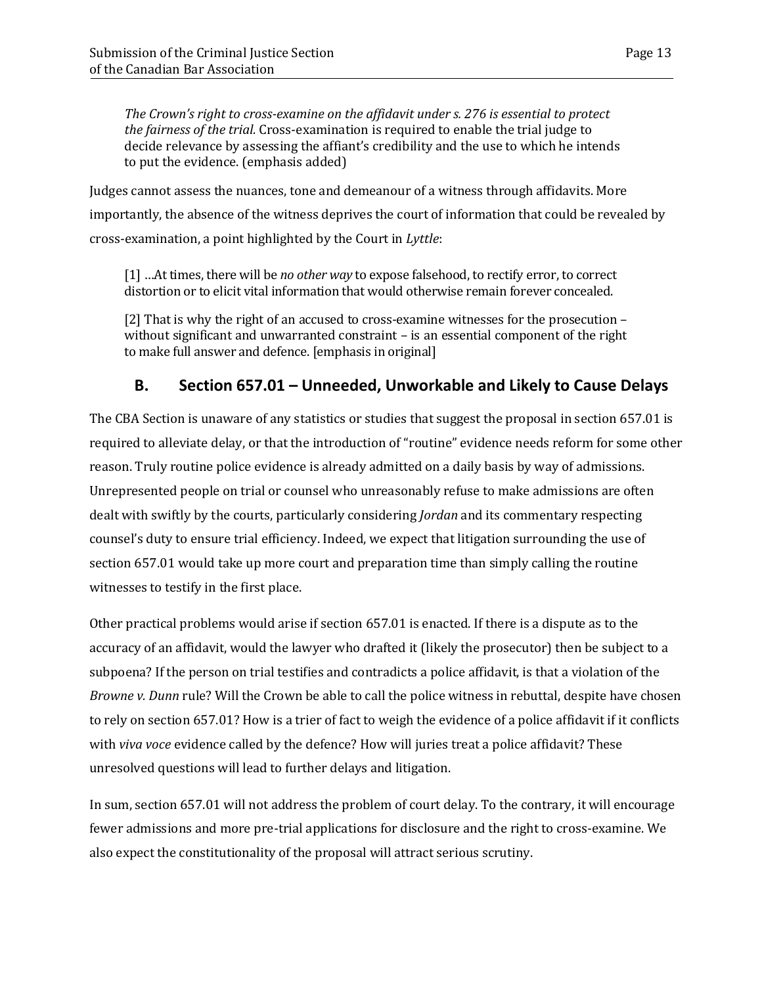*The Crown's right to cross-examine on the affidavit under s. 276 is essential to protect the fairness of the trial.* Cross-examination is required to enable the trial judge to decide relevance by assessing the affiant's credibility and the use to which he intends to put the evidence. (emphasis added)

Judges cannot assess the nuances, tone and demeanour of a witness through affidavits. More importantly, the absence of the witness deprives the court of information that could be revealed by cross-examination, a point highlighted by the Court in *Lyttle*:

[1] …At times, there will be *no other way* to expose falsehood, to rectify error, to correct distortion or to elicit vital information that would otherwise remain forever concealed.

[2] That is why the right of an accused to cross-examine witnesses for the prosecution – without significant and unwarranted constraint – is an essential component of the right to make full answer and defence. [emphasis in original]

# **B. Section 657.01 – Unneeded, Unworkable and Likely to Cause Delays**

<span id="page-16-0"></span>The CBA Section is unaware of any statistics or studies that suggest the proposal in section 657.01 is required to alleviate delay, or that the introduction of "routine" evidence needs reform for some other reason. Truly routine police evidence is already admitted on a daily basis by way of admissions. Unrepresented people on trial or counsel who unreasonably refuse to make admissions are often dealt with swiftly by the courts, particularly considering *Jordan* and its commentary respecting counsel's duty to ensure trial efficiency. Indeed, we expect that litigation surrounding the use of section 657.01 would take up more court and preparation time than simply calling the routine witnesses to testify in the first place.

Other practical problems would arise if section 657.01 is enacted. If there is a dispute as to the accuracy of an affidavit, would the lawyer who drafted it (likely the prosecutor) then be subject to a subpoena? If the person on trial testifies and contradicts a police affidavit, is that a violation of the *Browne v. Dunn* rule? Will the Crown be able to call the police witness in rebuttal, despite have chosen to rely on section 657.01? How is a trier of fact to weigh the evidence of a police affidavit if it conflicts with *viva voce* evidence called by the defence? How will juries treat a police affidavit? These unresolved questions will lead to further delays and litigation.

In sum, section 657.01 will not address the problem of court delay. To the contrary, it will encourage fewer admissions and more pre-trial applications for disclosure and the right to cross-examine. We also expect the constitutionality of the proposal will attract serious scrutiny.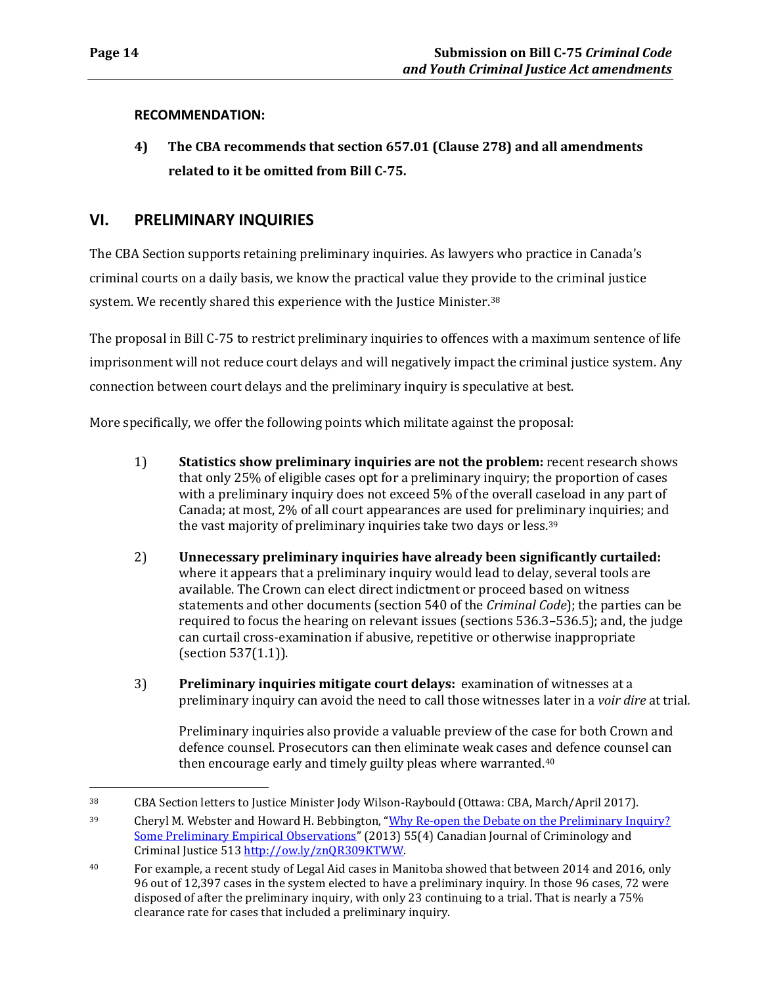$\overline{a}$ 

#### **RECOMMENDATION:**

**4) The CBA recommends that section 657.01 (Clause 278) and all amendments related to it be omitted from Bill C-75.**

### <span id="page-17-0"></span>**VI. PRELIMINARY INQUIRIES**

The CBA Section supports retaining preliminary inquiries. As lawyers who practice in Canada's criminal courts on a daily basis, we know the practical value they provide to the criminal justice system. We recently shared this experience with the Justice Minister.<sup>[38](#page-17-1)</sup>

The proposal in Bill C-75 to restrict preliminary inquiries to offences with a maximum sentence of life imprisonment will not reduce court delays and will negatively impact the criminal justice system. Any connection between court delays and the preliminary inquiry is speculative at best.

More specifically, we offer the following points which militate against the proposal:

- 1) **Statistics show preliminary inquiries are not the problem:** recent research shows that only 25% of eligible cases opt for a preliminary inquiry; the proportion of cases with a preliminary inquiry does not exceed 5% of the overall caseload in any part of Canada; at most, 2% of all court appearances are used for preli[mi](#page-17-2)nary inquiries; and the vast majority of preliminary inquiries take two days or less.<sup>39</sup>
- 2) **Unnecessary preliminary inquiries have already been significantly curtailed:** where it appears that a preliminary inquiry would lead to delay, several tools are available. The Crown can elect direct indictment or proceed based on witness statements and other documents (section 540 of the *Criminal Code*); the parties can be required to focus the hearing on relevant issues (sections 536.3–536.5); and, the judge can curtail cross-examination if abusive, repetitive or otherwise inappropriate (section 537(1.1)).
- 3) **Preliminary inquiries mitigate court delays:** examination of witnesses at a preliminary inquiry can avoid the need to call those witnesses later in a *voir dire* at trial*.*

Preliminary inquiries also provide a valuable preview of the case for both Crown and defence counsel. Prosecutors can then eliminate weak cases and defence counsel can then encourage early and timely guilty pleas where warranted.[40](#page-17-3)

<span id="page-17-1"></span><sup>38</sup> CBA Section letters to Justice Minister Jody Wilson-Raybould (Ottawa: CBA, March/April 2017).

<span id="page-17-2"></span><sup>&</sup>lt;sup>39</sup> Cheryl M. Webster and Howard H. Bebbington, "Why Re-open the Debate on the Preliminary Inquiry? [Some Preliminary Empirical Observations"](http://dx.doi.org/10.3138/cjccj.2012.ES06) (2013) 55(4) Canadian Journal of Criminology and Criminal Justice 51[3 http://ow.ly/znQR309KTWW.](http://ow.ly/znQR309KTWW)

<span id="page-17-3"></span><sup>40</sup> For example, a recent study of Legal Aid cases in Manitoba showed that between 2014 and 2016, only 96 out of 12,397 cases in the system elected to have a preliminary inquiry. In those 96 cases, 72 were disposed of after the preliminary inquiry, with only 23 continuing to a trial. That is nearly a 75% clearance rate for cases that included a preliminary inquiry.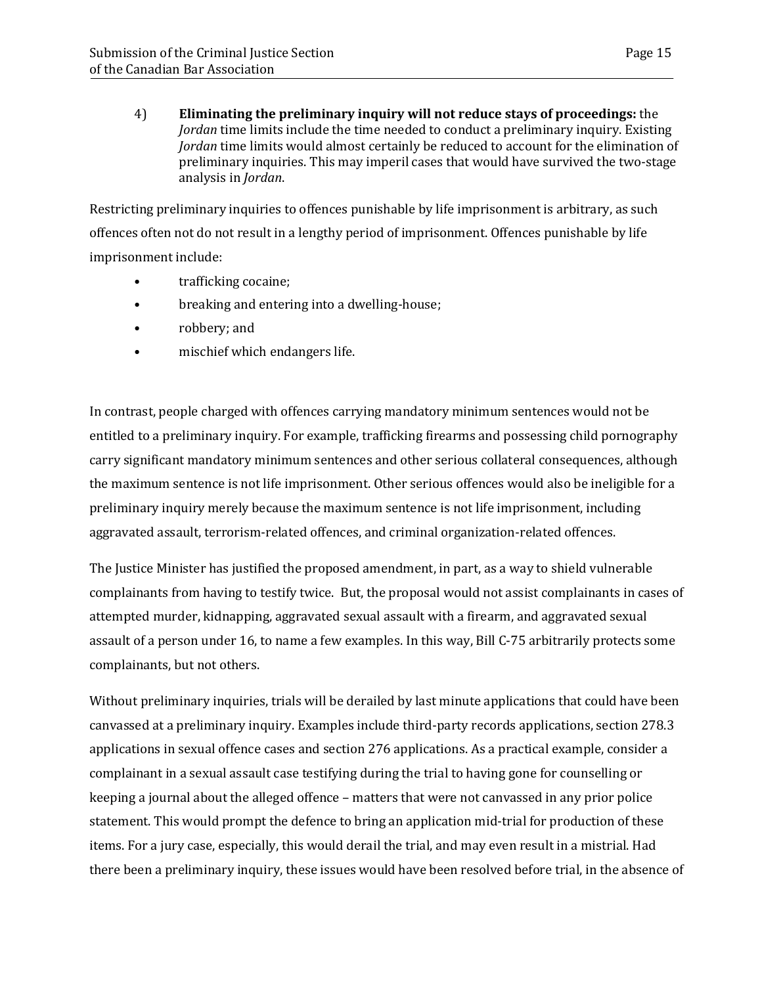4) **Eliminating the preliminary inquiry will not reduce stays of proceedings:** the *Jordan* time limits include the time needed to conduct a preliminary inquiry. Existing *Jordan* time limits would almost certainly be reduced to account for the elimination of preliminary inquiries. This may imperil cases that would have survived the two-stage analysis in *Jordan*.

Restricting preliminary inquiries to offences punishable by life imprisonment is arbitrary, as such offences often not do not result in a lengthy period of imprisonment. Offences punishable by life imprisonment include:

- trafficking cocaine;
- breaking and entering into a dwelling-house;
- robbery; and
- mischief which endangers life.

In contrast, people charged with offences carrying mandatory minimum sentences would not be entitled to a preliminary inquiry. For example, trafficking firearms and possessing child pornography carry significant mandatory minimum sentences and other serious collateral consequences, although the maximum sentence is not life imprisonment. Other serious offences would also be ineligible for a preliminary inquiry merely because the maximum sentence is not life imprisonment, including aggravated assault, terrorism-related offences, and criminal organization-related offences.

The Justice Minister has justified the proposed amendment, in part, as a way to shield vulnerable complainants from having to testify twice. But, the proposal would not assist complainants in cases of attempted murder, kidnapping, aggravated sexual assault with a firearm, and aggravated sexual assault of a person under 16, to name a few examples. In this way, Bill C-75 arbitrarily protects some complainants, but not others.

Without preliminary inquiries, trials will be derailed by last minute applications that could have been canvassed at a preliminary inquiry. Examples include third-party records applications, section 278.3 applications in sexual offence cases and section 276 applications. As a practical example, consider a complainant in a sexual assault case testifying during the trial to having gone for counselling or keeping a journal about the alleged offence – matters that were not canvassed in any prior police statement. This would prompt the defence to bring an application mid-trial for production of these items. For a jury case, especially, this would derail the trial, and may even result in a mistrial. Had there been a preliminary inquiry, these issues would have been resolved before trial, in the absence of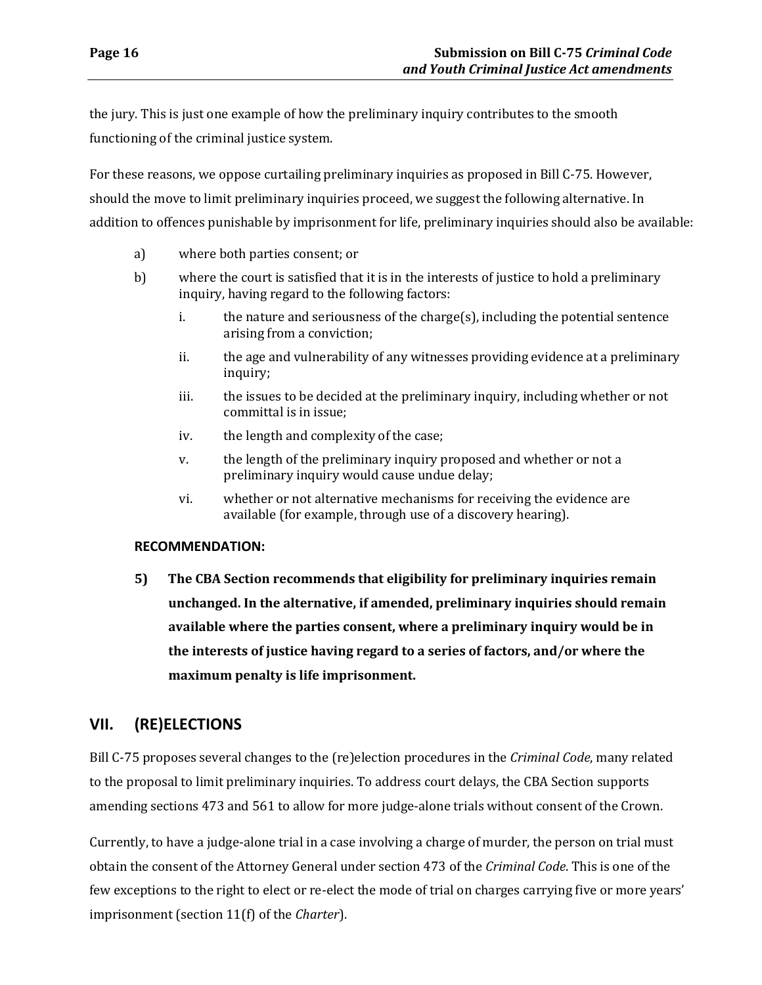the jury. This is just one example of how the preliminary inquiry contributes to the smooth functioning of the criminal justice system.

For these reasons, we oppose curtailing preliminary inquiries as proposed in Bill C-75. However, should the move to limit preliminary inquiries proceed, we suggest the following alternative. In addition to offences punishable by imprisonment for life, preliminary inquiries should also be available:

- a) where both parties consent; or
- b) where the court is satisfied that it is in the interests of justice to hold a preliminary inquiry, having regard to the following factors:
	- i. the nature and seriousness of the charge(s), including the potential sentence arising from a conviction;
	- ii. the age and vulnerability of any witnesses providing evidence at a preliminary inquiry;
	- iii. the issues to be decided at the preliminary inquiry, including whether or not committal is in issue;
	- iv. the length and complexity of the case;
	- v. the length of the preliminary inquiry proposed and whether or not a preliminary inquiry would cause undue delay;
	- vi. whether or not alternative mechanisms for receiving the evidence are available (for example, through use of a discovery hearing).

### **RECOMMENDATION:**

**5) The CBA Section recommends that eligibility for preliminary inquiries remain unchanged. In the alternative, if amended, preliminary inquiries should remain available where the parties consent, where a preliminary inquiry would be in the interests of justice having regard to a series of factors, and/or where the maximum penalty is life imprisonment.**

# <span id="page-19-0"></span>**VII. (RE)ELECTIONS**

Bill C-75 proposes several changes to the (re)election procedures in the *Criminal Code*, many related to the proposal to limit preliminary inquiries. To address court delays, the CBA Section supports amending sections 473 and 561 to allow for more judge-alone trials without consent of the Crown.

Currently, to have a judge-alone trial in a case involving a charge of murder, the person on trial must obtain the consent of the Attorney General under section 473 of the *Criminal Code*. This is one of the few exceptions to the right to elect or re-elect the mode of trial on charges carrying five or more years' imprisonment (section 11(f) of the *Charter*).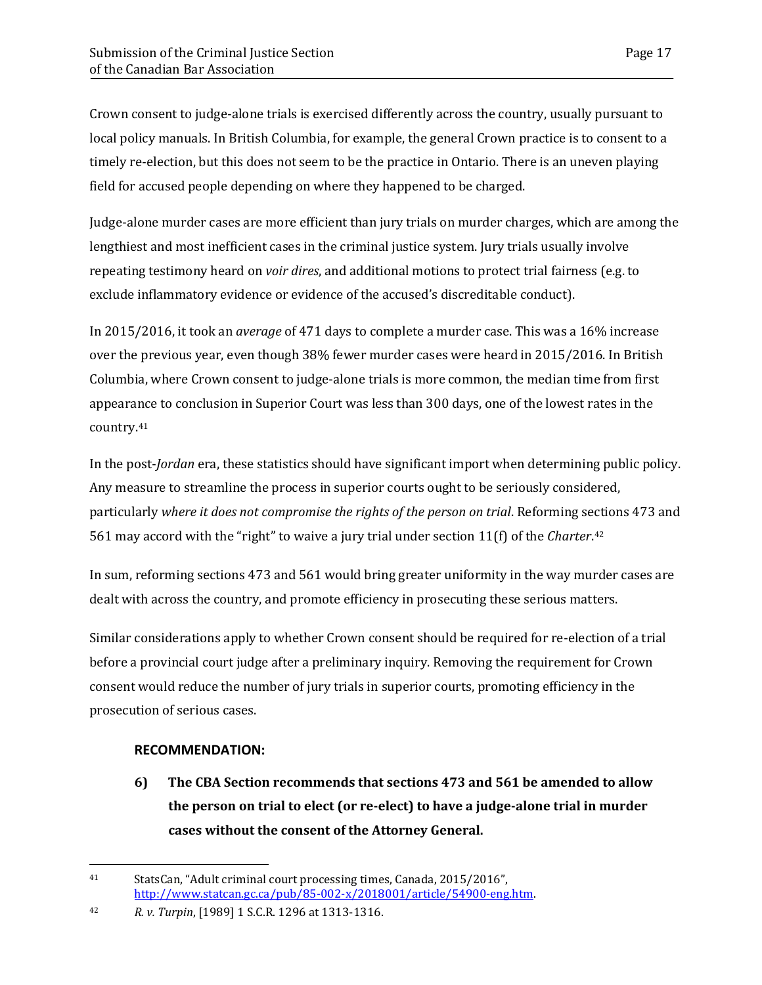Crown consent to judge-alone trials is exercised differently across the country, usually pursuant to local policy manuals. In British Columbia, for example, the general Crown practice is to consent to a timely re-election, but this does not seem to be the practice in Ontario. There is an uneven playing field for accused people depending on where they happened to be charged.

Judge-alone murder cases are more efficient than jury trials on murder charges, which are among the lengthiest and most inefficient cases in the criminal justice system. Jury trials usually involve repeating testimony heard on *voir dires*, and additional motions to protect trial fairness (e.g. to exclude inflammatory evidence or evidence of the accused's discreditable conduct).

In 2015/2016, it took an *average* of 471 days to complete a murder case. This was a 16% increase over the previous year, even though 38% fewer murder cases were heard in 2015/2016. In British Columbia, where Crown consent to judge-alone trials is more common, the median time from first appearance to conclusion in Superior Court was less than 300 days, one of the lowest rates in the country[.41](#page-20-0)

In the post-*Jordan* era, these statistics should have significant import when determining public policy. Any measure to streamline the process in superior courts ought to be seriously considered, particularly *where it does not compromise the rights of the person on trial*. Reforming sections 473 and 561 may accord with the "right" to waive a jury trial under section 11(f) of the *Charter*.[42](#page-20-1)

In sum, reforming sections 473 and 561 would bring greater uniformity in the way murder cases are dealt with across the country, and promote efficiency in prosecuting these serious matters.

Similar considerations apply to whether Crown consent should be required for re-election of a trial before a provincial court judge after a preliminary inquiry. Removing the requirement for Crown consent would reduce the number of jury trials in superior courts, promoting efficiency in the prosecution of serious cases.

### **RECOMMENDATION:**

**6) The CBA Section recommends that sections 473 and 561 be amended to allow the person on trial to elect (or re-elect) to have a judge-alone trial in murder cases without the consent of the Attorney General.**

<span id="page-20-0"></span> $\overline{a}$ 41 StatsCan, "Adult criminal court processing times, Canada, 2015/2016", [http://www.statcan.gc.ca/pub/85-002-x/2018001/article/54900-eng.htm.](http://www.statcan.gc.ca/pub/85-002-x/2018001/article/54900-eng.htm)

<span id="page-20-1"></span><sup>42</sup> *R. v. Turpin*, [1989] 1 S.C.R. 1296 at 1313-1316.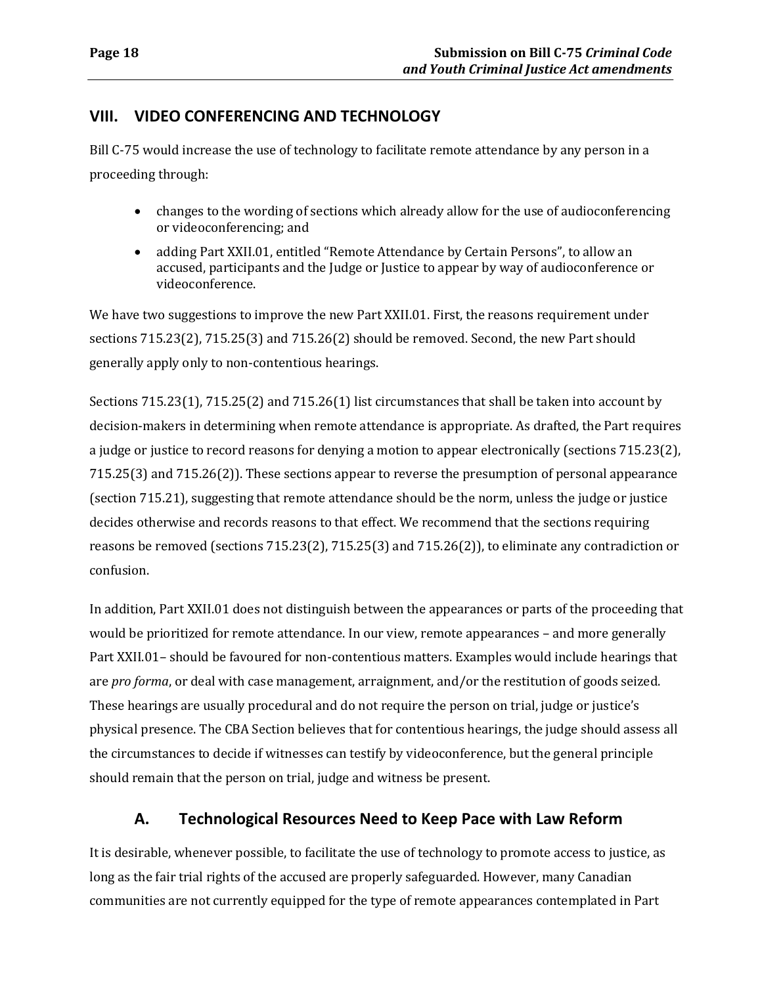### <span id="page-21-0"></span>**VIII. VIDEO CONFERENCING AND TECHNOLOGY**

Bill C-75 would increase the use of technology to facilitate remote attendance by any person in a proceeding through:

- changes to the wording of sections which already allow for the use of audioconferencing or videoconferencing; and
- adding Part XXII.01, entitled "Remote Attendance by Certain Persons", to allow an accused, participants and the Judge or Justice to appear by way of audioconference or videoconference.

We have two suggestions to improve the new Part XXII.01. First, the reasons requirement under sections 715.23(2), 715.25(3) and 715.26(2) should be removed. Second, the new Part should generally apply only to non-contentious hearings.

Sections 715.23(1), 715.25(2) and 715.26(1) list circumstances that shall be taken into account by decision-makers in determining when remote attendance is appropriate. As drafted, the Part requires a judge or justice to record reasons for denying a motion to appear electronically (sections 715.23(2), 715.25(3) and 715.26(2)). These sections appear to reverse the presumption of personal appearance (section 715.21), suggesting that remote attendance should be the norm, unless the judge or justice decides otherwise and records reasons to that effect. We recommend that the sections requiring reasons be removed (sections 715.23(2), 715.25(3) and 715.26(2)), to eliminate any contradiction or confusion.

In addition, Part XXII.01 does not distinguish between the appearances or parts of the proceeding that would be prioritized for remote attendance. In our view, remote appearances – and more generally Part XXII.01– should be favoured for non-contentious matters. Examples would include hearings that are *pro forma*, or deal with case management, arraignment, and/or the restitution of goods seized. These hearings are usually procedural and do not require the person on trial, judge or justice's physical presence. The CBA Section believes that for contentious hearings, the judge should assess all the circumstances to decide if witnesses can testify by videoconference, but the general principle should remain that the person on trial, judge and witness be present.

## **A. Technological Resources Need to Keep Pace with Law Reform**

<span id="page-21-1"></span>It is desirable, whenever possible, to facilitate the use of technology to promote access to justice, as long as the fair trial rights of the accused are properly safeguarded. However, many Canadian communities are not currently equipped for the type of remote appearances contemplated in Part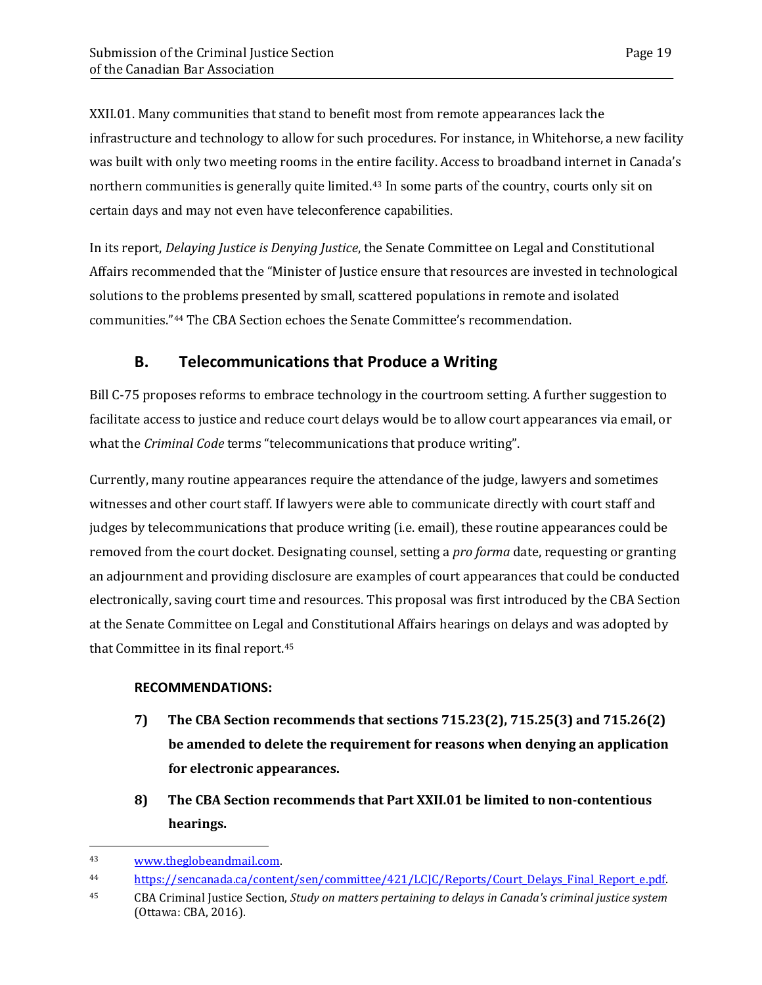XXII.01. Many communities that stand to benefit most from remote appearances lack the infrastructure and technology to allow for such procedures. For instance, in Whitehorse, a new facility was built with only two meeting rooms in the entire facility. Access to broadband internet in Canada's northern communities is generally quite limited.<sup>[43](#page-22-1)</sup> In some parts of the country, courts only sit on certain days and may not even have teleconference capabilities.

In its report, *Delaying Justice is Denying Justice*, the Senate Committee on Legal and Constitutional Affairs recommended that the "Minister of Justice ensure that resources are invested in technological solutions to the problems presented by small, scattered populations in remote and isolated communities."[44](#page-22-2) The CBA Section echoes the Senate Committee's recommendation.

### **B. Telecommunications that Produce a Writing**

<span id="page-22-0"></span>Bill C-75 proposes reforms to embrace technology in the courtroom setting. A further suggestion to facilitate access to justice and reduce court delays would be to allow court appearances via email, or what the *Criminal Code* terms "telecommunications that produce writing".

Currently, many routine appearances require the attendance of the judge, lawyers and sometimes witnesses and other court staff. If lawyers were able to communicate directly with court staff and judges by telecommunications that produce writing (i.e. email), these routine appearances could be removed from the court docket. Designating counsel, setting a *pro forma* date, requesting or granting an adjournment and providing disclosure are examples of court appearances that could be conducted electronically, saving court time and resources. This proposal was first introduced by the CBA Section at the Senate Committee on Legal and Constitutional Affairs hearings on delays and was adopted by that Committee in its final report.[45](#page-22-3)

#### **RECOMMENDATIONS:**

- **7) The CBA Section recommends that sections 715.23(2), 715.25(3) and 715.26(2) be amended to delete the requirement for reasons when denying an application for electronic appearances.**
- **8) The CBA Section recommends that Part XXII.01 be limited to non-contentious hearings.**

<span id="page-22-1"></span><sup>43</sup> [www.theglobeandmail.com.](http://www.theglobeandmail.com/)

<span id="page-22-2"></span><sup>&</sup>lt;sup>44</sup> https://sencanada.ca/content/sen/committee/421/LCJC/Reports/Court Delays Final Report e.pdf.

<span id="page-22-3"></span><sup>45</sup> CBA Criminal Justice Section, *Study on matters pertaining to delays in Canada's criminal justice system* (Ottawa: CBA, 2016).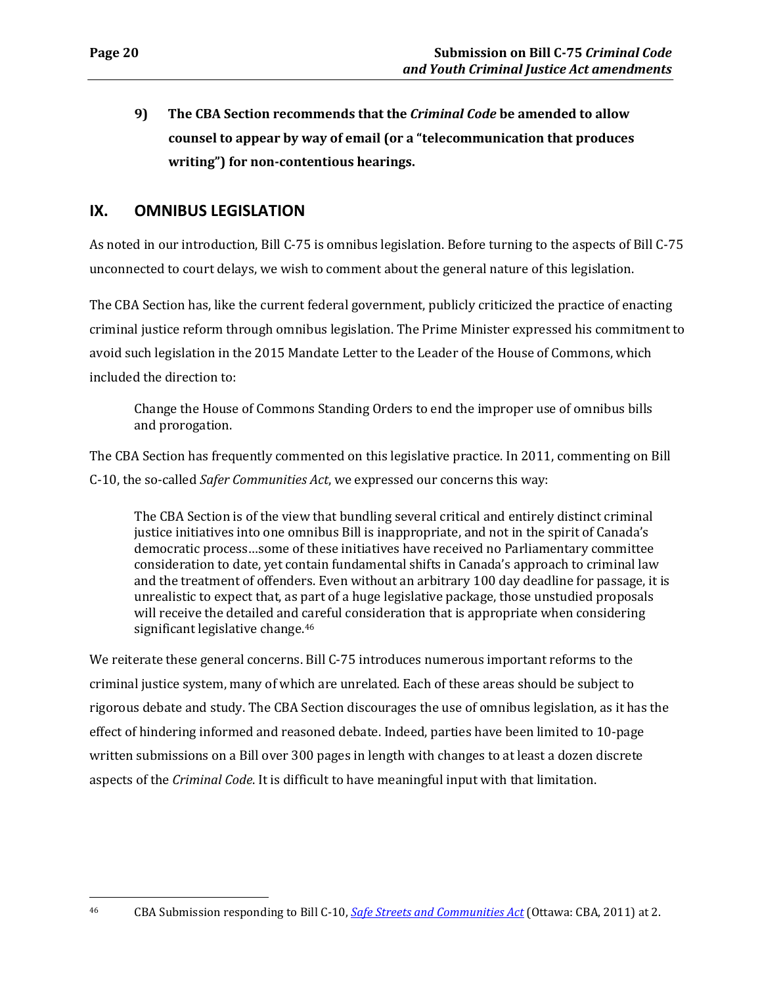**9) The CBA Section recommends that the** *Criminal Code* **be amended to allow counsel to appear by way of email (or a "telecommunication that produces writing") for non-contentious hearings.**

## <span id="page-23-0"></span>**IX. OMNIBUS LEGISLATION**

As noted in our introduction, Bill C-75 is omnibus legislation. Before turning to the aspects of Bill C-75 unconnected to court delays, we wish to comment about the general nature of this legislation.

The CBA Section has, like the current federal government, publicly criticized the practice of enacting criminal justice reform through omnibus legislation. The Prime Minister expressed his commitment to avoid such legislation in the 2015 Mandate Letter to the Leader of the House of Commons, which included the direction to:

Change the House of Commons Standing Orders to end the improper use of omnibus bills and prorogation.

The CBA Section has frequently commented on this legislative practice. In 2011, commenting on Bill C-10, the so-called *Safer Communities Act*, we expressed our concerns this way:

The CBA Section is of the view that bundling several critical and entirely distinct criminal justice initiatives into one omnibus Bill is inappropriate, and not in the spirit of Canada's democratic process…some of these initiatives have received no Parliamentary committee consideration to date, yet contain fundamental shifts in Canada's approach to criminal law and the treatment of offenders. Even without an arbitrary 100 day deadline for passage, it is unrealistic to expect that, as part of a huge legislative package, those unstudied proposals will receive the detailed and careful consideration that is appropriate when considering significant legislative change.<sup>[46](#page-23-1)</sup>

We reiterate these general concerns. Bill C-75 introduces numerous important reforms to the criminal justice system, many of which are unrelated. Each of these areas should be subject to rigorous debate and study. The CBA Section discourages the use of omnibus legislation, as it has the effect of hindering informed and reasoned debate. Indeed, parties have been limited to 10-page written submissions on a Bill over 300 pages in length with changes to at least a dozen discrete aspects of the *Criminal Code*. It is difficult to have meaningful input with that limitation.

<span id="page-23-1"></span><sup>46</sup> CBA Submission responding to Bill C-10, *[Safe Streets and Communities Act](https://www.cba.org/CMSPages/GetFile.aspx?guid=b8cadb63-95fb-47a2-a0f0-2c0f3f63540b)* (Ottawa: CBA, 2011) at 2.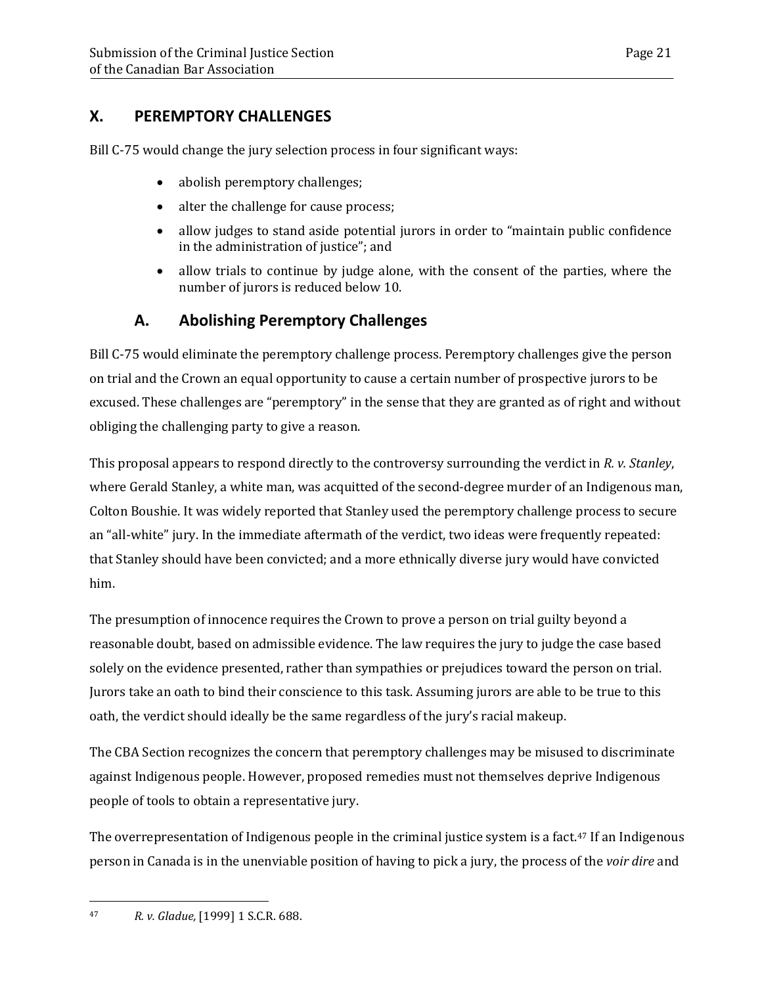# <span id="page-24-0"></span>**X. PEREMPTORY CHALLENGES**

Bill C-75 would change the jury selection process in four significant ways:

- abolish peremptory challenges;
- alter the challenge for cause process;
- allow judges to stand aside potential jurors in order to "maintain public confidence" in the administration of justice"; and
- allow trials to continue by judge alone, with the consent of the parties, where the number of jurors is reduced below 10.

# **A. Abolishing Peremptory Challenges**

<span id="page-24-1"></span>Bill C-75 would eliminate the peremptory challenge process. Peremptory challenges give the person on trial and the Crown an equal opportunity to cause a certain number of prospective jurors to be excused. These challenges are "peremptory" in the sense that they are granted as of right and without obliging the challenging party to give a reason.

This proposal appears to respond directly to the controversy surrounding the verdict in *R. v. Stanley*, where Gerald Stanley, a white man, was acquitted of the second-degree murder of an Indigenous man, Colton Boushie. It was widely reported that Stanley used the peremptory challenge process to secure an "all-white" jury. In the immediate aftermath of the verdict, two ideas were frequently repeated: that Stanley should have been convicted; and a more ethnically diverse jury would have convicted him.

The presumption of innocence requires the Crown to prove a person on trial guilty beyond a reasonable doubt, based on admissible evidence. The law requires the jury to judge the case based solely on the evidence presented, rather than sympathies or prejudices toward the person on trial. Jurors take an oath to bind their conscience to this task. Assuming jurors are able to be true to this oath, the verdict should ideally be the same regardless of the jury's racial makeup.

The CBA Section recognizes the concern that peremptory challenges may be misused to discriminate against Indigenous people. However, proposed remedies must not themselves deprive Indigenous people of tools to obtain a representative jury.

The overrepresentation of Indigenous people in the criminal justice system is a fact.<sup>[47](#page-24-2)</sup> If an Indigenous person in Canada is in the unenviable position of having to pick a jury, the process of the *voir dire* and

<span id="page-24-2"></span><sup>47</sup> *R. v. Gladue,* [1999] 1 S.C.R. 688.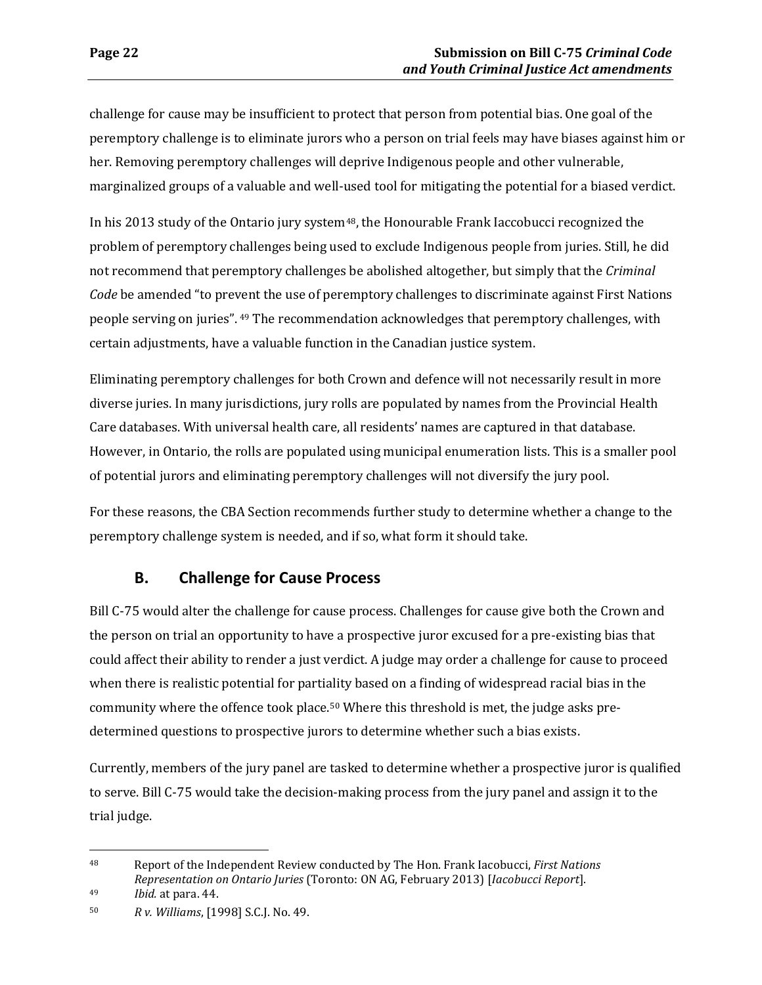challenge for cause may be insufficient to protect that person from potential bias. One goal of the peremptory challenge is to eliminate jurors who a person on trial feels may have biases against him or her. Removing peremptory challenges will deprive Indigenous people and other vulnerable, marginalized groups of a valuable and well-used tool for mitigating the potential for a biased verdict.

In his 2013 study of the Ontario jury system<sup>[48](#page-25-1)</sup>, the Honourable Frank Iaccobucci recognized the problem of peremptory challenges being used to exclude Indigenous people from juries. Still, he did not recommend that peremptory challenges be abolished altogether, but simply that the *Criminal Code* be amended "to pre[ven](#page-25-2)t the use of peremptory challenges to discriminate against First Nations people serving on juries". <sup>49</sup> The recommendation acknowledges that peremptory challenges, with certain adjustments, have a valuable function in the Canadian justice system.

Eliminating peremptory challenges for both Crown and defence will not necessarily result in more diverse juries. In many jurisdictions, jury rolls are populated by names from the Provincial Health Care databases. With universal health care, all residents' names are captured in that database. However, in Ontario, the rolls are populated using municipal enumeration lists. This is a smaller pool of potential jurors and eliminating peremptory challenges will not diversify the jury pool.

For these reasons, the CBA Section recommends further study to determine whether a change to the peremptory challenge system is needed, and if so, what form it should take.

## **B. Challenge for Cause Process**

<span id="page-25-0"></span>Bill C-75 would alter the challenge for cause process. Challenges for cause give both the Crown and the person on trial an opportunity to have a prospective juror excused for a pre-existing bias that could affect their ability to render a just verdict. A judge may order a challenge for cause to proceed when there is realistic potential for partiality based on a finding of widespread racial bias in the community where the offence took place.[50](#page-25-3) Where this threshold is met, the judge asks predetermined questions to prospective jurors to determine whether such a bias exists.

Currently, members of the jury panel are tasked to determine whether a prospective juror is qualified to serve. Bill C-75 would take the decision-making process from the jury panel and assign it to the trial judge.

<span id="page-25-1"></span><sup>48</sup> Report of the Independent Review conducted by The Hon. Frank Iacobucci, *First Nations Representation on Ontario Juries* (Toronto: ON AG, February 2013) [*Iacobucci Report*].

<span id="page-25-2"></span><sup>49</sup> *Ibid.* at para. 44.

<span id="page-25-3"></span><sup>50</sup> *R v. Williams*, [1998] S.C.J. No. 49.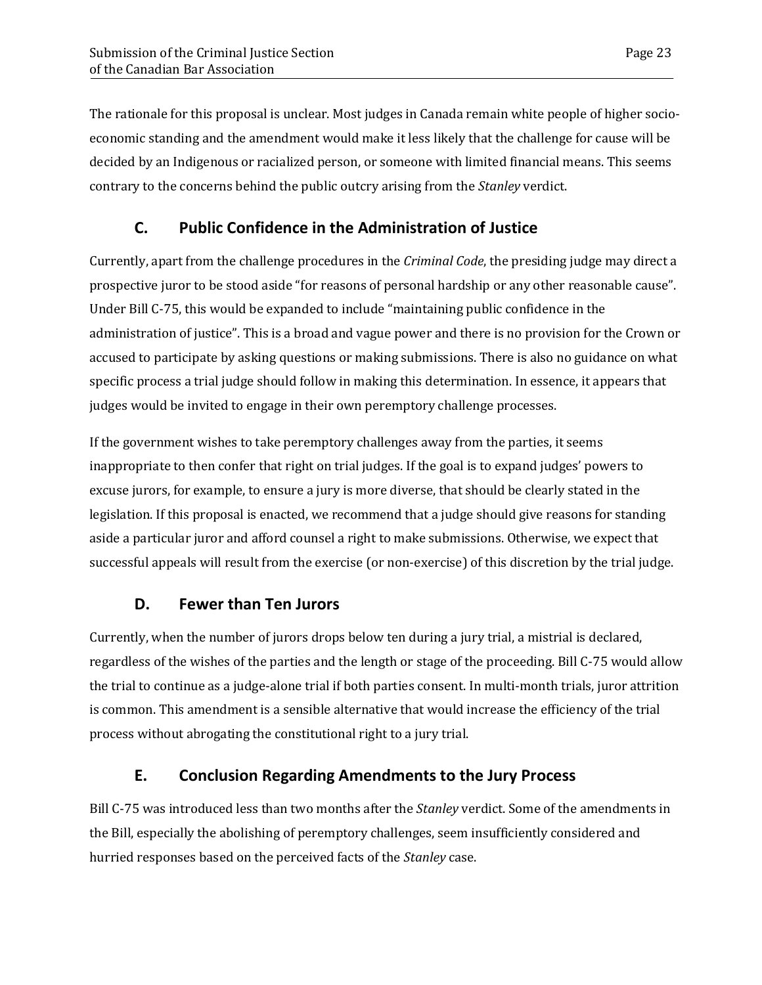The rationale for this proposal is unclear. Most judges in Canada remain white people of higher socioeconomic standing and the amendment would make it less likely that the challenge for cause will be decided by an Indigenous or racialized person, or someone with limited financial means. This seems contrary to the concerns behind the public outcry arising from the *Stanley* verdict.

# **C. Public Confidence in the Administration of Justice**

<span id="page-26-0"></span>Currently, apart from the challenge procedures in the *Criminal Code*, the presiding judge may direct a prospective juror to be stood aside "for reasons of personal hardship or any other reasonable cause". Under Bill C-75, this would be expanded to include "maintaining public confidence in the administration of justice". This is a broad and vague power and there is no provision for the Crown or accused to participate by asking questions or making submissions. There is also no guidance on what specific process a trial judge should follow in making this determination. In essence, it appears that judges would be invited to engage in their own peremptory challenge processes.

If the government wishes to take peremptory challenges away from the parties, it seems inappropriate to then confer that right on trial judges. If the goal is to expand judges' powers to excuse jurors, for example, to ensure a jury is more diverse, that should be clearly stated in the legislation. If this proposal is enacted, we recommend that a judge should give reasons for standing aside a particular juror and afford counsel a right to make submissions. Otherwise, we expect that successful appeals will result from the exercise (or non-exercise) of this discretion by the trial judge.

## **D. Fewer than Ten Jurors**

<span id="page-26-1"></span>Currently, when the number of jurors drops below ten during a jury trial, a mistrial is declared, regardless of the wishes of the parties and the length or stage of the proceeding. Bill C-75 would allow the trial to continue as a judge-alone trial if both parties consent. In multi-month trials, juror attrition is common. This amendment is a sensible alternative that would increase the efficiency of the trial process without abrogating the constitutional right to a jury trial.

## **E. Conclusion Regarding Amendments to the Jury Process**

<span id="page-26-2"></span>Bill C-75 was introduced less than two months after the *Stanley* verdict. Some of the amendments in the Bill, especially the abolishing of peremptory challenges, seem insufficiently considered and hurried responses based on the perceived facts of the *Stanley* case.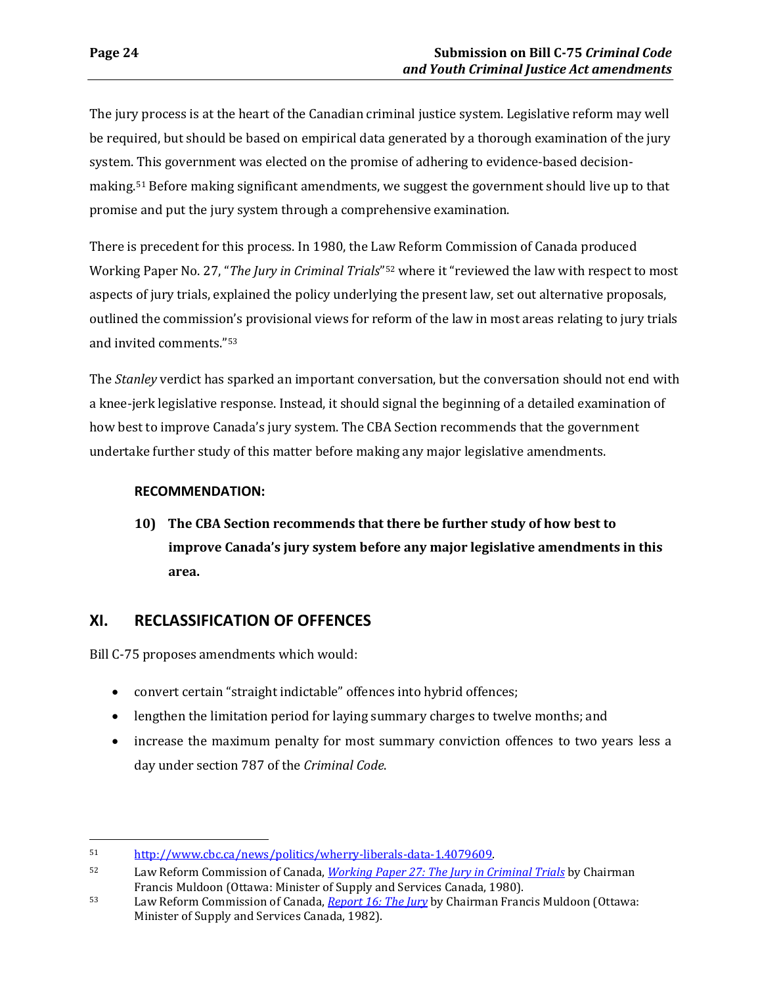The jury process is at the heart of the Canadian criminal justice system. Legislative reform may well be required, but should be based on empirical data generated by a thorough examination of the jury system. This government was elected on the promise of adhering to evidence-based decisionmaking.[51](#page-27-1) Before making significant amendments, we suggest the government should live up to that promise and put the jury system through a comprehensive examination.

There is precedent for this process. In 1980, the Law Reform Commission of Canada produced Working Paper No. 27, "*The Jury in Criminal Trials*"[52](#page-27-2) where it "reviewed the law with respect to most aspects of jury trials, explained the policy underlying the present law, set out alternative proposals, outlined the commission's provisional views for reform of the law in most areas relating to jury trials and invited comments."[53](#page-27-3)

The *Stanley* verdict has sparked an important conversation, but the conversation should not end with a knee-jerk legislative response. Instead, it should signal the beginning of a detailed examination of how best to improve Canada's jury system. The CBA Section recommends that the government undertake further study of this matter before making any major legislative amendments.

### **RECOMMENDATION:**

**10) The CBA Section recommends that there be further study of how best to improve Canada's jury system before any major legislative amendments in this area.**

## <span id="page-27-0"></span>**XI. RECLASSIFICATION OF OFFENCES**

Bill C-75 proposes amendments which would:

- convert certain "straight indictable" offences into hybrid offences;
- lengthen the limitation period for laying summary charges to twelve months; and
- increase the maximum penalty for most summary conviction offences to two years less a day under section 787 of the *Criminal Code*.

<span id="page-27-1"></span> $\overline{a}$ 51 [http://www.cbc.ca/news/politics/wherry-liberals-data-1.4079609.](http://www.cbc.ca/news/politics/wherry-liberals-data-1.4079609) 

<span id="page-27-2"></span><sup>52</sup> Law Reform Commission of Canada, *[Working Paper 27: The Jury in Criminal Trials](http://www.lareau-law.ca/LRCWP27.pdf)* by Chairman

<span id="page-27-3"></span>Francis Muldoon (Ottawa: Minister [of Supply and Servic](http://www.lareau-law.ca/LRCReport16.pdf)es Canada, 1980). 53 Law Reform Commission of Canada[,](http://www.lareau-law.ca/LRCReport16.pdf) *Report 16: The Jury* by Chairman Francis Muldoon (Ottawa: Minister of Supply and Services Canada, 1982).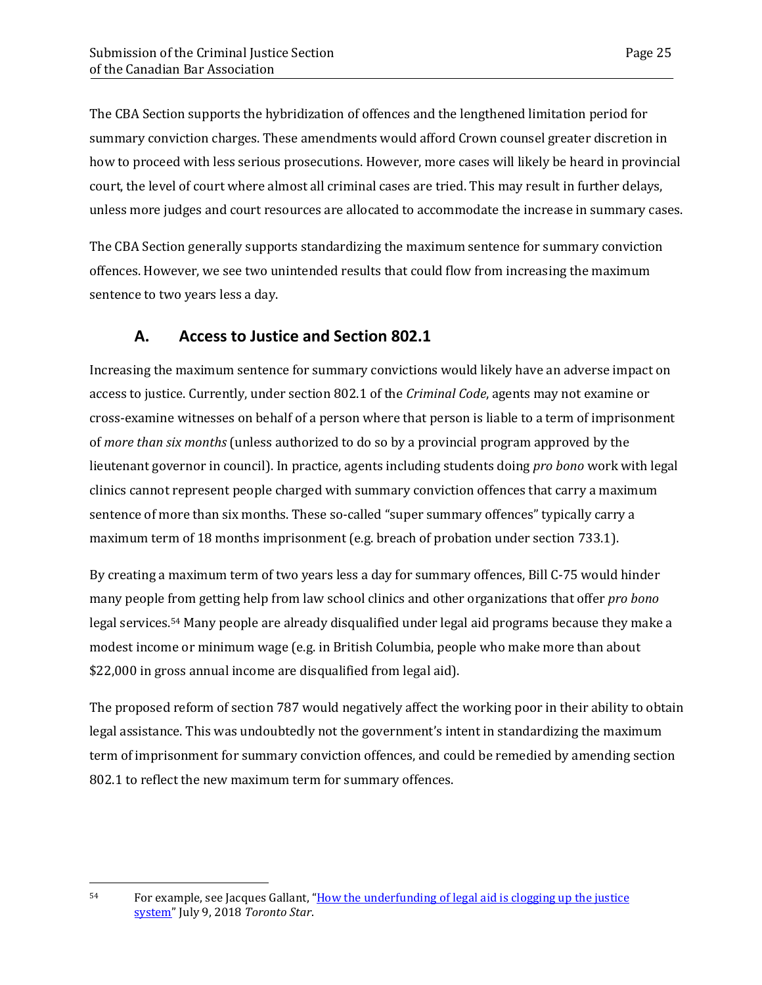The CBA Section supports the hybridization of offences and the lengthened limitation period for summary conviction charges. These amendments would afford Crown counsel greater discretion in how to proceed with less serious prosecutions. However, more cases will likely be heard in provincial court, the level of court where almost all criminal cases are tried. This may result in further delays, unless more judges and court resources are allocated to accommodate the increase in summary cases.

The CBA Section generally supports standardizing the maximum sentence for summary conviction offences. However, we see two unintended results that could flow from increasing the maximum sentence to two years less a day.

## **A. Access to Justice and Section 802.1**

<span id="page-28-0"></span>Increasing the maximum sentence for summary convictions would likely have an adverse impact on access to justice. Currently, under section 802.1 of the *Criminal Code*, agents may not examine or cross-examine witnesses on behalf of a person where that person is liable to a term of imprisonment of *more than six months* (unless authorized to do so by a provincial program approved by the lieutenant governor in council). In practice, agents including students doing *pro bono* work with legal clinics cannot represent people charged with summary conviction offences that carry a maximum sentence of more than six months. These so-called "super summary offences" typically carry a maximum term of 18 months imprisonment (e.g. breach of probation under section 733.1).

By creating a maximum term of two years less a day for summary offences, Bill C-75 would hinder many people from getting help from law school clinics and other organizations that offer *pro bono*  legal services.[54](#page-28-1) Many people are already disqualified under legal aid programs because they make a modest income or minimum wage (e.g. in British Columbia, people who make more than about \$22,000 in gross annual income are disqualified from legal aid).

The proposed reform of section 787 would negatively affect the working poor in their ability to obtain legal assistance. This was undoubtedly not the government's intent in standardizing the maximum term of imprisonment for summary conviction offences, and could be remedied by amending section 802.1 to reflect the new maximum term for summary offences.

 $\overline{a}$ 

<span id="page-28-1"></span><sup>54</sup> For example, see Jacques Gallant, ["How the underfunding of legal aid is clogging up the justice](https://www.thestar.com/news/gta/2018/07/09/how-the-underfunding-of-legal-aid-is-clogging-up-the-justice-system.html)  [system"](https://www.thestar.com/news/gta/2018/07/09/how-the-underfunding-of-legal-aid-is-clogging-up-the-justice-system.html) July 9, 2018 *Toronto Star*.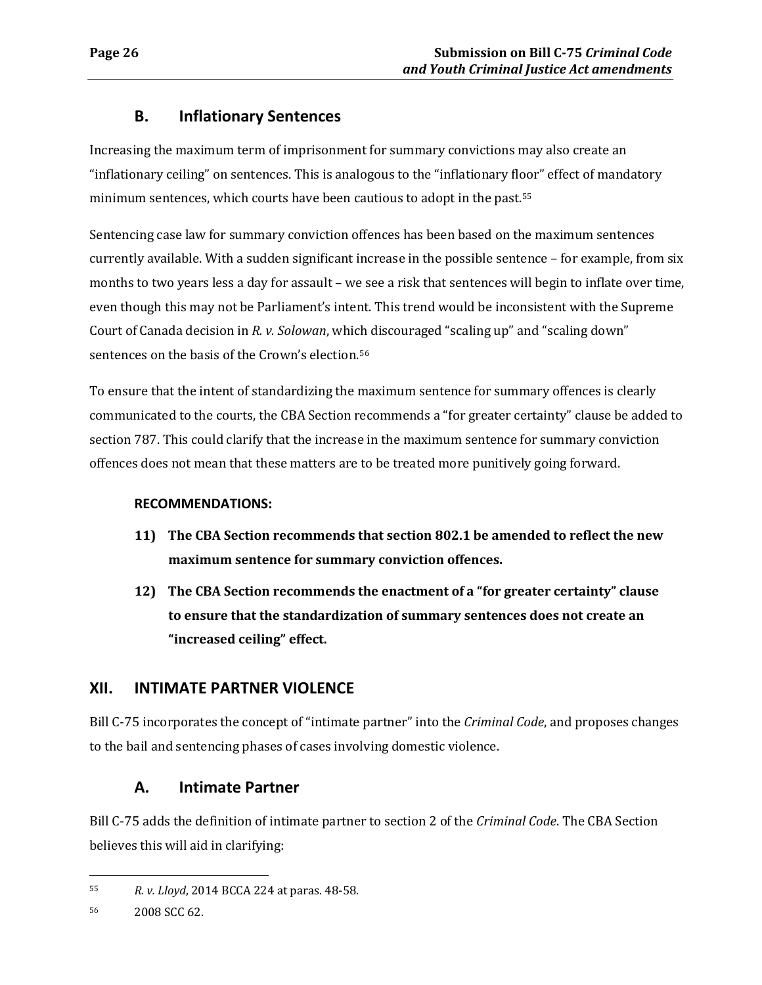### **B. Inflationary Sentences**

<span id="page-29-0"></span>Increasing the maximum term of imprisonment for summary convictions may also create an "inflationary ceiling" on sentences. This is analogous to the "inflationary floor" effect of mandatory minimum sentences, which courts have been cautious to adopt in the past.[55](#page-29-3)

Sentencing case law for summary conviction offences has been based on the maximum sentences currently available. With a sudden significant increase in the possible sentence – for example, from six months to two years less a day for assault – we see a risk that sentences will begin to inflate over time, even though this may not be Parliament's intent. This trend would be inconsistent with the Supreme Court of Canada decision in *R. v. Solowan*, which discouraged "scaling up" and "scaling down" sentences on the basis of the Crown's election.<sup>[56](#page-29-4)</sup>

To ensure that the intent of standardizing the maximum sentence for summary offences is clearly communicated to the courts, the CBA Section recommends a "for greater certainty" clause be added to section 787. This could clarify that the increase in the maximum sentence for summary conviction offences does not mean that these matters are to be treated more punitively going forward.

### **RECOMMENDATIONS:**

- **11) The CBA Section recommends that section 802.1 be amended to reflect the new maximum sentence for summary conviction offences.**
- **12) The CBA Section recommends the enactment of a "for greater certainty" clause to ensure that the standardization of summary sentences does not create an "increased ceiling" effect.**

## <span id="page-29-1"></span>**XII. INTIMATE PARTNER VIOLENCE**

Bill C-75 incorporates the concept of "intimate partner" into the *Criminal Code*, and proposes changes to the bail and sentencing phases of cases involving domestic violence.

## **A. Intimate Partner**

<span id="page-29-2"></span>Bill C-75 adds the definition of intimate partner to section 2 of the *Criminal Code*. The CBA Section believes this will aid in clarifying:

<span id="page-29-3"></span> $\overline{a}$ 55 *R. v. Lloyd*, 2014 BCCA 224 at paras. 48-58.

<span id="page-29-4"></span><sup>56 2008</sup> SCC 62.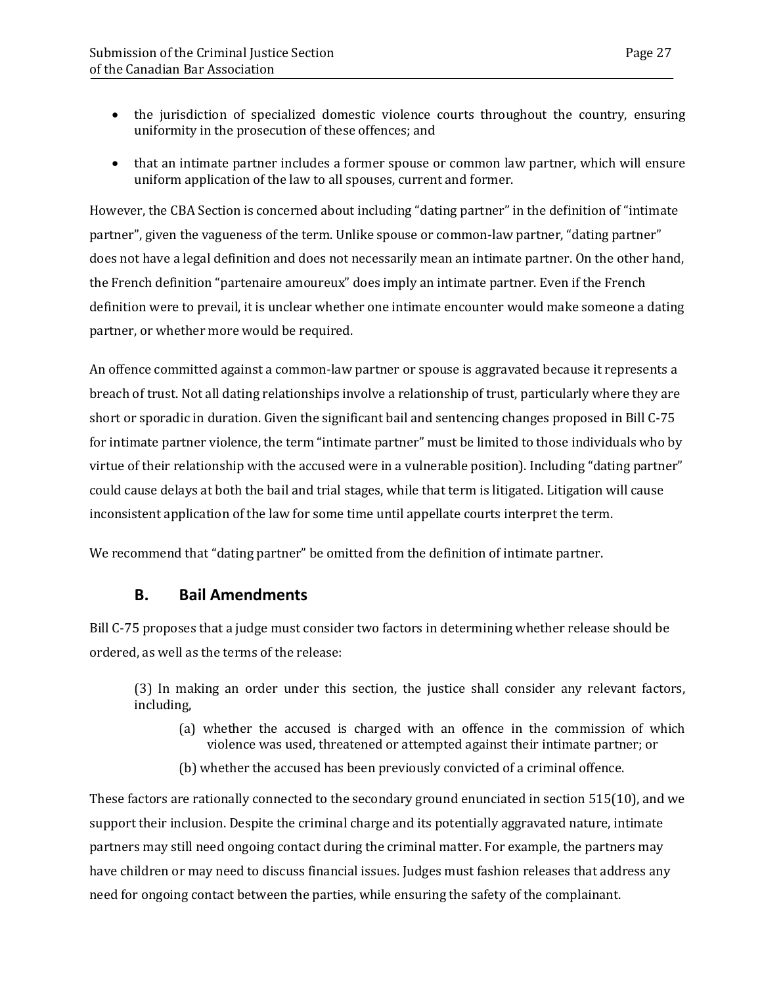- the jurisdiction of specialized domestic violence courts throughout the country, ensuring uniformity in the prosecution of these offences; and
- that an intimate partner includes a former spouse or common law partner, which will ensure uniform application of the law to all spouses, current and former.

However, the CBA Section is concerned about including "dating partner" in the definition of "intimate partner", given the vagueness of the term. Unlike spouse or common-law partner, "dating partner" does not have a legal definition and does not necessarily mean an intimate partner. On the other hand, the French definition "partenaire amoureux" does imply an intimate partner. Even if the French definition were to prevail, it is unclear whether one intimate encounter would make someone a dating partner, or whether more would be required.

An offence committed against a common-law partner or spouse is aggravated because it represents a breach of trust. Not all dating relationships involve a relationship of trust, particularly where they are short or sporadic in duration. Given the significant bail and sentencing changes proposed in Bill C-75 for intimate partner violence, the term "intimate partner" must be limited to those individuals who by virtue of their relationship with the accused were in a vulnerable position). Including "dating partner" could cause delays at both the bail and trial stages, while that term is litigated. Litigation will cause inconsistent application of the law for some time until appellate courts interpret the term.

<span id="page-30-0"></span>We recommend that "dating partner" be omitted from the definition of intimate partner.

### **B. Bail Amendments**

Bill C-75 proposes that a judge must consider two factors in determining whether release should be ordered, as well as the terms of the release:

(3) In making an order under this section, the justice shall consider any relevant factors, including,

- (a) whether the accused is charged with an offence in the commission of which violence was used, threatened or attempted against their intimate partner; or
- (b) whether the accused has been previously convicted of a criminal offence.

These factors are rationally connected to the secondary ground enunciated in section 515(10), and we support their inclusion. Despite the criminal charge and its potentially aggravated nature, intimate partners may still need ongoing contact during the criminal matter. For example, the partners may have children or may need to discuss financial issues. Judges must fashion releases that address any need for ongoing contact between the parties, while ensuring the safety of the complainant.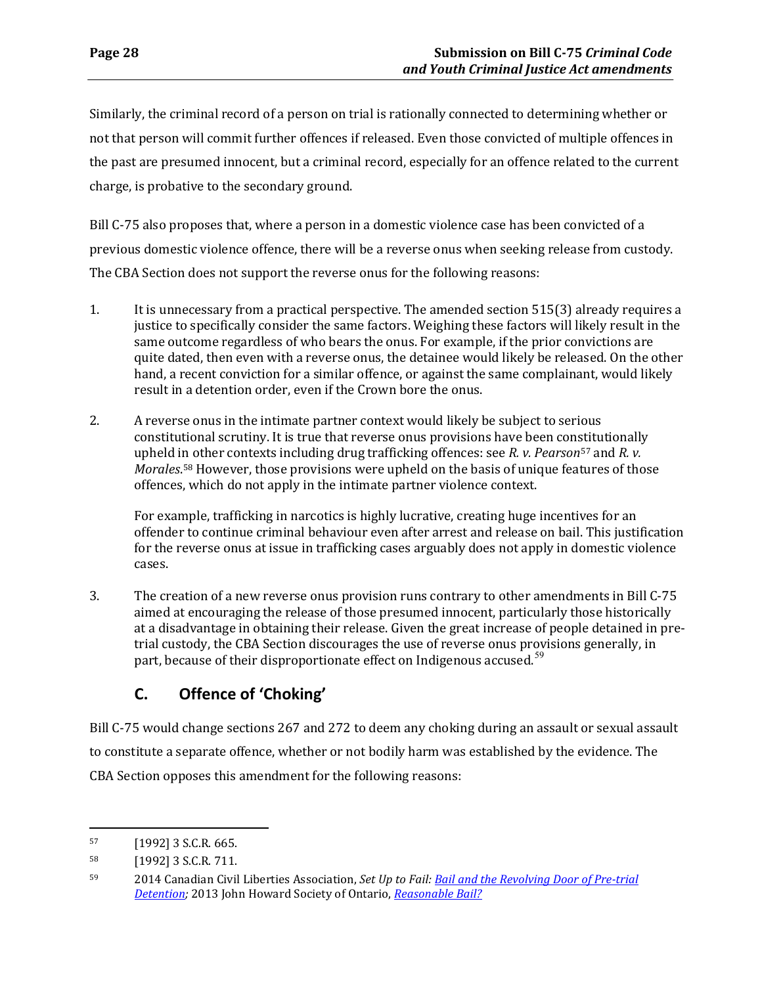Similarly, the criminal record of a person on trial is rationally connected to determining whether or not that person will commit further offences if released. Even those convicted of multiple offences in the past are presumed innocent, but a criminal record, especially for an offence related to the current charge, is probative to the secondary ground.

Bill C-75 also proposes that, where a person in a domestic violence case has been convicted of a previous domestic violence offence, there will be a reverse onus when seeking release from custody. The CBA Section does not support the reverse onus for the following reasons:

- 1. It is unnecessary from a practical perspective. The amended section 515(3) already requires a justice to specifically consider the same factors. Weighing these factors will likely result in the same outcome regardless of who bears the onus. For example, if the prior convictions are quite dated, then even with a reverse onus, the detainee would likely be released. On the other hand, a recent conviction for a similar offence, or against the same complainant, would likely result in a detention order, even if the Crown bore the onus.
- 2. A reverse onus in the intimate partner context would likely be subject to serious constitutional scrutiny. It is true that reverse onus provisions have been con[sti](#page-31-1)tutionally upheld in other contexts including drug trafficking offences: see *R. v. Pearson*<sup>57</sup> and *R. v. Morales*[.58](#page-31-2) However, those provisions were upheld on the basis of unique features of those offences, which do not apply in the intimate partner violence context.

For example, trafficking in narcotics is highly lucrative, creating huge incentives for an offender to continue criminal behaviour even after arrest and release on bail. This justification for the reverse onus at issue in trafficking cases arguably does not apply in domestic violence cases.

3. The creation of a new reverse onus provision runs contrary to other amendments in Bill C-75 aimed at encouraging the release of those presumed innocent, particularly those historically at a disadvantage in obtaining their release. Given the great increase of people detained in pretrial custody, the CBA Section discourages the use of reverse onus provisions generally, in part, because of their disproportionate effect on Indigenous accused.<sup>[59](#page-31-3)</sup>

# <span id="page-31-0"></span>**C. Offence of 'Choking'**

Bill C-75 would change sections 267 and 272 to deem any choking during an assault or sexual assault to constitute a separate offence, whether or not bodily harm was established by the evidence. The CBA Section opposes this amendment for the following reasons:

<span id="page-31-1"></span><sup>57 [1992] 3</sup> S.C.R. 665.

<span id="page-31-2"></span><sup>58 [1992] 3</sup> S.C.R. 711.

<span id="page-31-3"></span><sup>59 2014</sup> Canadian Civil Liberties Association, *Set Up to Fail[: Bail and the Revolving Door of Pre-trial](https://ccla.org/dev/v5/_doc/CCLA_set_up_to_fail.pdf)  [Detention;](https://ccla.org/dev/v5/_doc/CCLA_set_up_to_fail.pdf)* 2013 John Howard Society of Ontario, *[Reasonable Bail?](http://johnhoward.on.ca/wp-content/uploads/2014/07/JHSO-Reasonable-Bail-report-final.pdf)*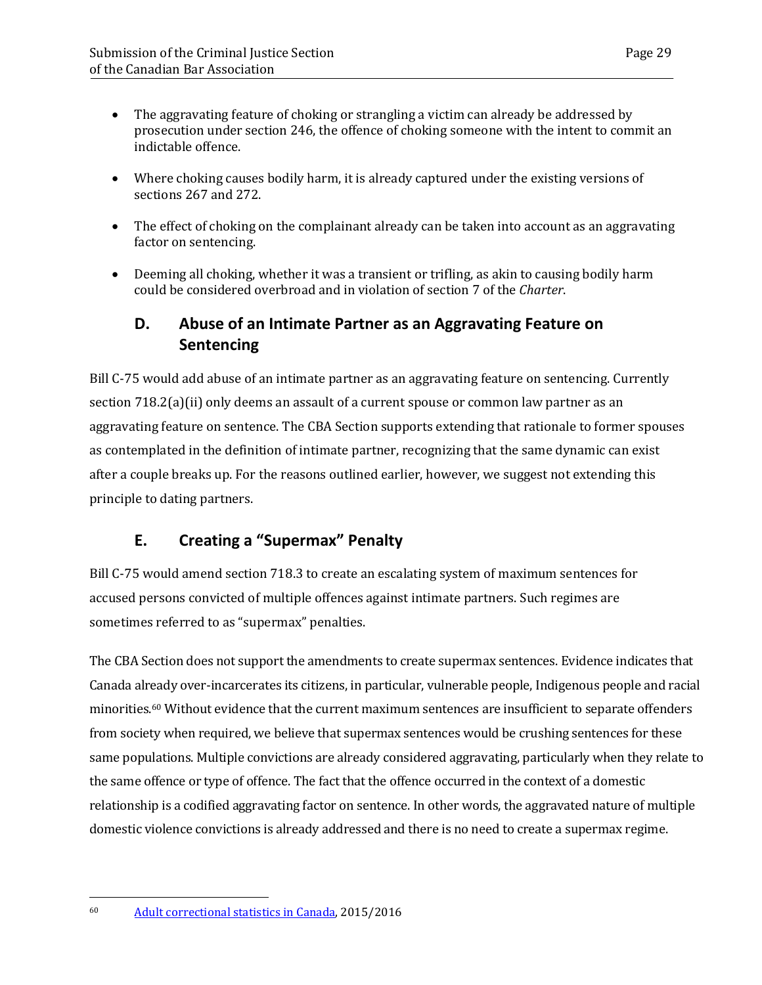- The aggravating feature of choking or strangling a victim can already be addressed by prosecution under section 246, the offence of choking someone with the intent to commit an indictable offence.
- Where choking causes bodily harm, it is already captured under the existing versions of sections 267 and 272.
- The effect of choking on the complainant already can be taken into account as an aggravating factor on sentencing.
- Deeming all choking, whether it was a transient or trifling, as akin to causing bodily harm could be considered overbroad and in violation of section 7 of the *Charter*.

# <span id="page-32-0"></span>**D. Abuse of an Intimate Partner as an Aggravating Feature on Sentencing**

Bill C-75 would add abuse of an intimate partner as an aggravating feature on sentencing. Currently section 718.2(a)(ii) only deems an assault of a current spouse or common law partner as an aggravating feature on sentence. The CBA Section supports extending that rationale to former spouses as contemplated in the definition of intimate partner, recognizing that the same dynamic can exist after a couple breaks up. For the reasons outlined earlier, however, we suggest not extending this principle to dating partners.

# **E. Creating a "Supermax" Penalty**

<span id="page-32-1"></span>Bill C-75 would amend section 718.3 to create an escalating system of maximum sentences for accused persons convicted of multiple offences against intimate partners. Such regimes are sometimes referred to as "supermax" penalties.

The CBA Section does not support the amendments to create supermax sentences. Evidence indicates that Canada already over-incarcerates its citizens, in particular, vulnerable people, Indigenous people and racial minorities[.60](#page-32-2) Without evidence that the current maximum sentences are insufficient to separate offenders from society when required, we believe that supermax sentences would be crushing sentences for these same populations. Multiple convictions are already considered aggravating, particularly when they relate to the same offence or type of offence. The fact that the offence occurred in the context of a domestic relationship is a codified aggravating factor on sentence. In other words, the aggravated nature of multiple domestic violence convictions is already addressed and there is no need to create a supermax regime.

 $\overline{a}$ 

<span id="page-32-2"></span><sup>60</sup> [Adult correctional statistics in Canada,](https://www150.statcan.gc.ca/n1/pub/85-002-x/2017001/article/14700-eng.htm) 2015/2016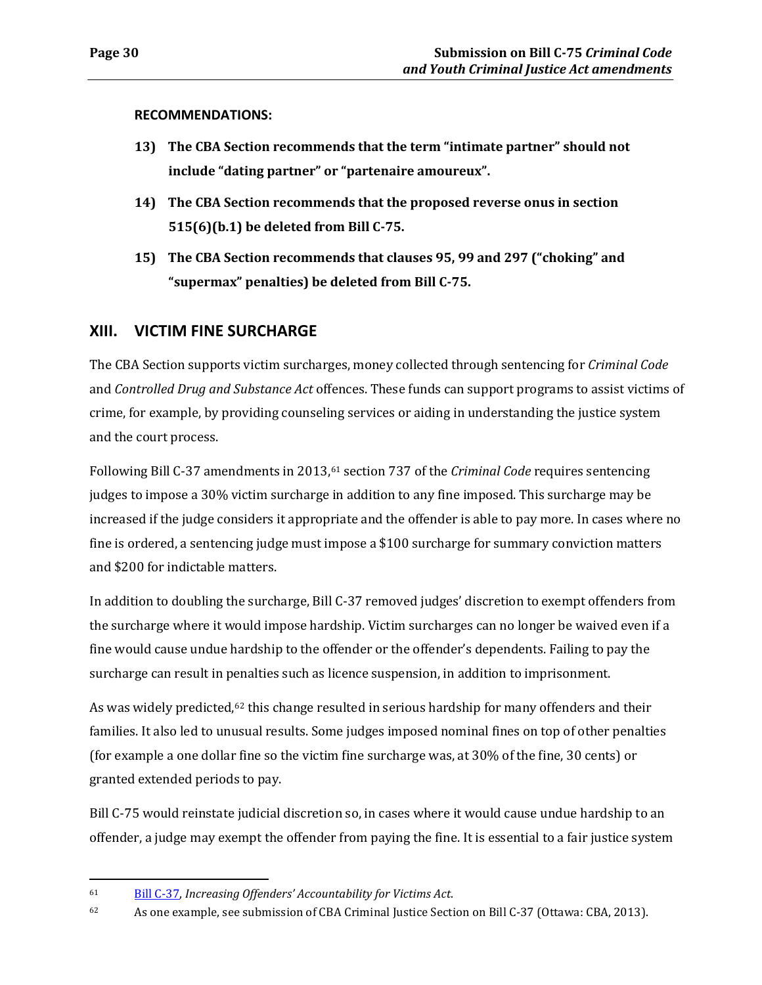**RECOMMENDATIONS:**

- **13) The CBA Section recommends that the term "intimate partner" should not include "dating partner" or "partenaire amoureux".**
- **14) The CBA Section recommends that the proposed reverse onus in section 515(6)(b.1) be deleted from Bill C-75.**
- **15) The CBA Section recommends that clauses 95, 99 and 297 ("choking" and "supermax" penalties) be deleted from Bill C-75.**

### <span id="page-33-0"></span>**XIII. VICTIM FINE SURCHARGE**

The CBA Section supports victim surcharges, money collected through sentencing for *Criminal Code*  and *Controlled Drug and Substance Act* offences. These funds can support programs to assist victims of crime, for example, by providing counseling services or aiding in understanding the justice system and the court process.

Following Bill C-37 amendments in 2013,<sup>[61](#page-33-1)</sup> section 737 of the *Criminal Code* requires sentencing judges to impose a 30% victim surcharge in addition to any fine imposed. This surcharge may be increased if the judge considers it appropriate and the offender is able to pay more. In cases where no fine is ordered, a sentencing judge must impose a \$100 surcharge for summary conviction matters and \$200 for indictable matters.

In addition to doubling the surcharge, Bill C-37 removed judges' discretion to exempt offenders from the surcharge where it would impose hardship. Victim surcharges can no longer be waived even if a fine would cause undue hardship to the offender or the offender's dependents. Failing to pay the surcharge can result in penalties such as licence suspension, in addition to imprisonment.

As was widely predicted, $62$  this change resulted in serious hardship for many offenders and their families. It also led to unusual results. Some judges imposed nominal fines on top of other penalties (for example a one dollar fine so the victim fine surcharge was, at 30% of the fine, 30 cents) or granted extended periods to pay.

Bill C-75 would reinstate judicial discretion so, in cases where it would cause undue hardship to an offender, a judge may exempt the offender from paying the fine. It is essential to a fair justice system

<span id="page-33-1"></span><sup>61</sup> [Bill C-37,](http://www.parl.ca/DocumentViewer/en/41-1/bill/C-37/royal-assent) *Increasing Offenders' Accountability for Victims Act*.

<span id="page-33-2"></span><sup>62</sup> As one example, see submission of CBA Criminal Justice Section on Bill C-37 (Ottawa: CBA, 2013).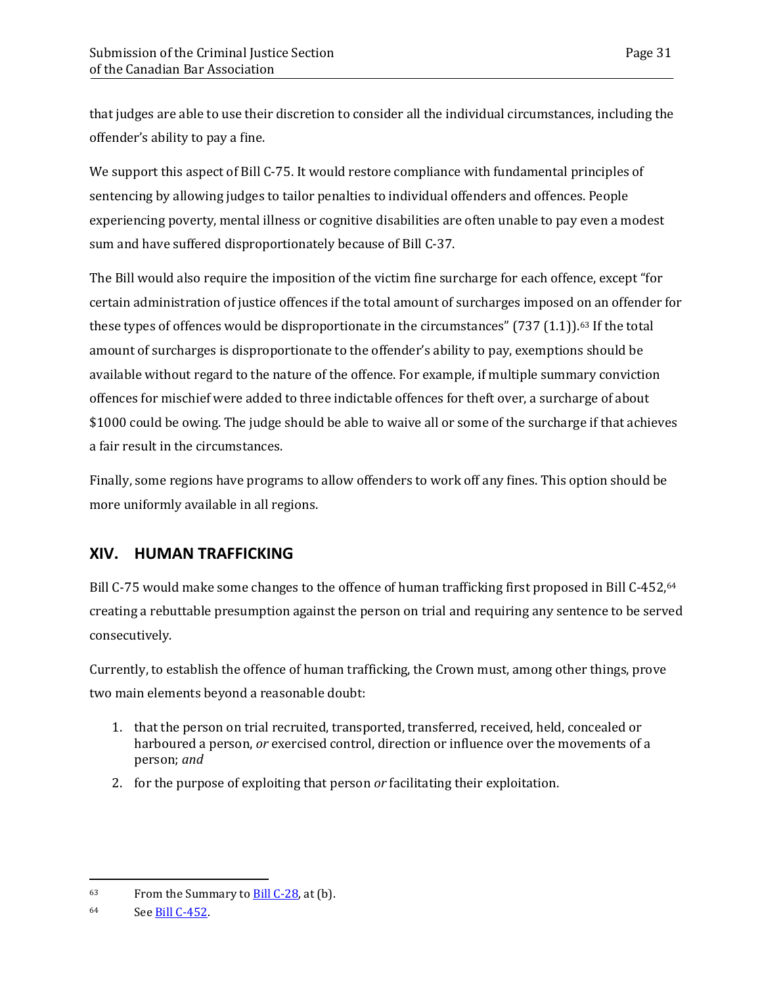that judges are able to use their discretion to consider all the individual circumstances, including the offender's ability to pay a fine.

We support this aspect of Bill C-75. It would restore compliance with fundamental principles of sentencing by allowing judges to tailor penalties to individual offenders and offences. People experiencing poverty, mental illness or cognitive disabilities are often unable to pay even a modest sum and have suffered disproportionately because of Bill C-37.

The Bill would also require the imposition of the victim fine surcharge for each offence, except "for certain administration of justice offences if the total amount of surcharges imposed on an offender for these types of offences would be disproportionate in the circumstances"  $(737 (1.1))$ .<sup>[63](#page-34-1)</sup> If the total amount of surcharges is disproportionate to the offender's ability to pay, exemptions should be available without regard to the nature of the offence. For example, if multiple summary conviction offences for mischief were added to three indictable offences for theft over, a surcharge of about \$1000 could be owing. The judge should be able to waive all or some of the surcharge if that achieves a fair result in the circumstances.

Finally, some regions have programs to allow offenders to work off any fines. This option should be more uniformly available in all regions.

## <span id="page-34-0"></span>**XIV. HUMAN TRAFFICKING**

Bill C-75 would make some changes to the offence of human trafficking first proposed in Bill C-452, <sup>[64](#page-34-2)</sup> creating a rebuttable presumption against the person on trial and requiring any sentence to be served consecutively.

Currently, to establish the offence of human trafficking, the Crown must, among other things, prove two main elements beyond a reasonable doubt:

- 1. that the person on trial recruited, transported, transferred, received, held, concealed or harboured a person, *or* exercised control, direction or influence over the movements of a person; *and*
- 2. for the purpose of exploiting that person *or* facilitating their exploitation.

<span id="page-34-1"></span> $^{63}$  From the Summary to  $\underline{Bill C-28}$ , at (b).

<span id="page-34-2"></span><sup>64</sup> See **Bill C-452.**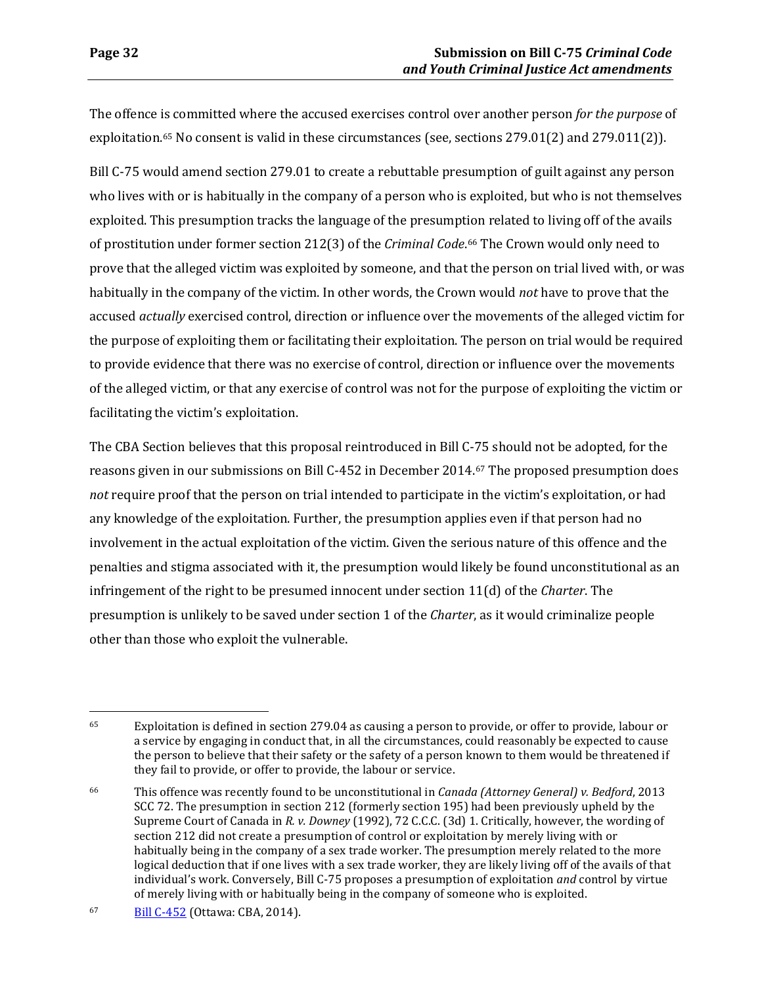The offence is committed where the accused exercises control over another person *for the purpose* of exploitation.[65](#page-35-0) No consent is valid in these circumstances (see, sections 279.01(2) and 279.011(2)).

Bill C-75 would amend section 279.01 to create a rebuttable presumption of guilt against any person who lives with or is habitually in the company of a person who is exploited, but who is not themselves exploited. This presumption tracks the language of the presumption related to living off of the avails of prostitution under former section 212(3) of the *Criminal Code*.[66](#page-35-1) The Crown would only need to prove that the alleged victim was exploited by someone, and that the person on trial lived with, or was habitually in the company of the victim. In other words, the Crown would *not* have to prove that the accused *actually* exercised control, direction or influence over the movements of the alleged victim for the purpose of exploiting them or facilitating their exploitation. The person on trial would be required to provide evidence that there was no exercise of control, direction or influence over the movements of the alleged victim, or that any exercise of control was not for the purpose of exploiting the victim or facilitating the victim's exploitation.

The CBA Section believes that this proposal reintroduced in Bill C-75 should not be adopted, for the reasons given in our submissions on Bill C-452 in December 2014.[67](#page-35-2) The proposed presumption does *not* require proof that the person on trial intended to participate in the victim's exploitation, or had any knowledge of the exploitation. Further, the presumption applies even if that person had no involvement in the actual exploitation of the victim. Given the serious nature of this offence and the penalties and stigma associated with it, the presumption would likely be found unconstitutional as an infringement of the right to be presumed innocent under section 11(d) of the *Charter*. The presumption is unlikely to be saved under section 1 of the *Charter*, as it would criminalize people other than those who exploit the vulnerable.

<span id="page-35-0"></span> $\overline{a}$ 65 Exploitation is defined in section 279.04 as causing a person to provide, or offer to provide, labour or a service by engaging in conduct that, in all the circumstances, could reasonably be expected to cause the person to believe that their safety or the safety of a person known to them would be threatened if they fail to provide, or offer to provide, the labour or service.

<span id="page-35-1"></span><sup>66</sup> This offence was recently found to be unconstitutional in *Canada (Attorney General) v. Bedford*, 2013 SCC 72. The presumption in section 212 (formerly section 195) had been previously upheld by the Supreme Court of Canada in *R. v. Downey* (1992), 72 C.C.C. (3d) 1. Critically, however, the wording of section 212 did not create a presumption of control or exploitation by merely living with or habitually being in the company of a sex trade worker. The presumption merely related to the more logical deduction that if one lives with a sex trade worker, they are likely living off of the avails of that individual's work. Conversely, Bill C-75 proposes a presumption of exploitation *and* control by virtue of merely living with or habitually being in the company of someone who is exploited.

<span id="page-35-2"></span><sup>67</sup> [Bill C-452](https://www.cba.org/CMSPages/GetFile.aspx?guid=147388e2-0bf9-4607-a7c0-3022690f28b7) (Ottawa: CBA, 2014).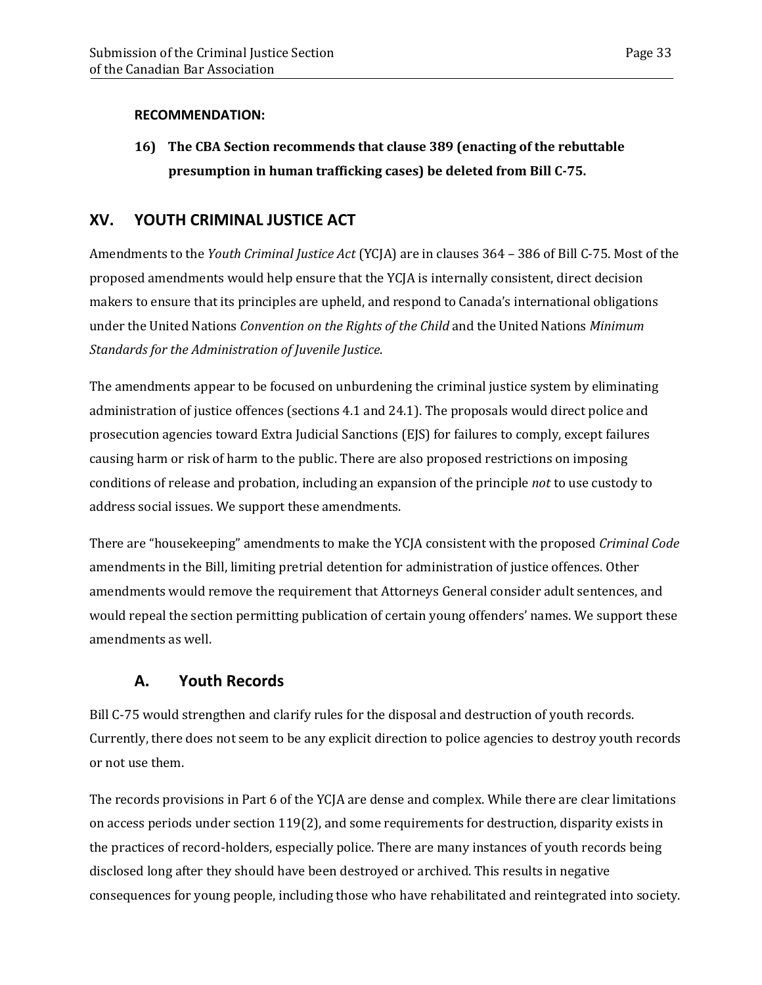### **RECOMMENDATION:**

**16) The CBA Section recommends that clause 389 (enacting of the rebuttable presumption in human trafficking cases) be deleted from Bill C-75.**

## <span id="page-36-0"></span>**XV. YOUTH CRIMINAL JUSTICE ACT**

Amendments to the *Youth Criminal Justice Act* (YCJA) are in clauses 364 – 386 of Bill C-75. Most of the proposed amendments would help ensure that the YCJA is internally consistent, direct decision makers to ensure that its principles are upheld, and respond to Canada's international obligations under the United Nations *Convention on the Rights of the Child* and the United Nations *Minimum Standards for the Administration of Juvenile Justice*.

The amendments appear to be focused on unburdening the criminal justice system by eliminating administration of justice offences (sections 4.1 and 24.1). The proposals would direct police and prosecution agencies toward Extra Judicial Sanctions (EJS) for failures to comply, except failures causing harm or risk of harm to the public. There are also proposed restrictions on imposing conditions of release and probation, including an expansion of the principle *not* to use custody to address social issues. We support these amendments.

There are "housekeeping" amendments to make the YCJA consistent with the proposed *Criminal Code* amendments in the Bill, limiting pretrial detention for administration of justice offences. Other amendments would remove the requirement that Attorneys General consider adult sentences, and would repeal the section permitting publication of certain young offenders' names. We support these amendments as well.

# **A. Youth Records**

<span id="page-36-1"></span>Bill C-75 would strengthen and clarify rules for the disposal and destruction of youth records. Currently, there does not seem to be any explicit direction to police agencies to destroy youth records or not use them.

The records provisions in Part 6 of the YCJA are dense and complex. While there are clear limitations on access periods under section 119(2), and some requirements for destruction, disparity exists in the practices of record-holders, especially police. There are many instances of youth records being disclosed long after they should have been destroyed or archived. This results in negative consequences for young people, including those who have rehabilitated and reintegrated into society.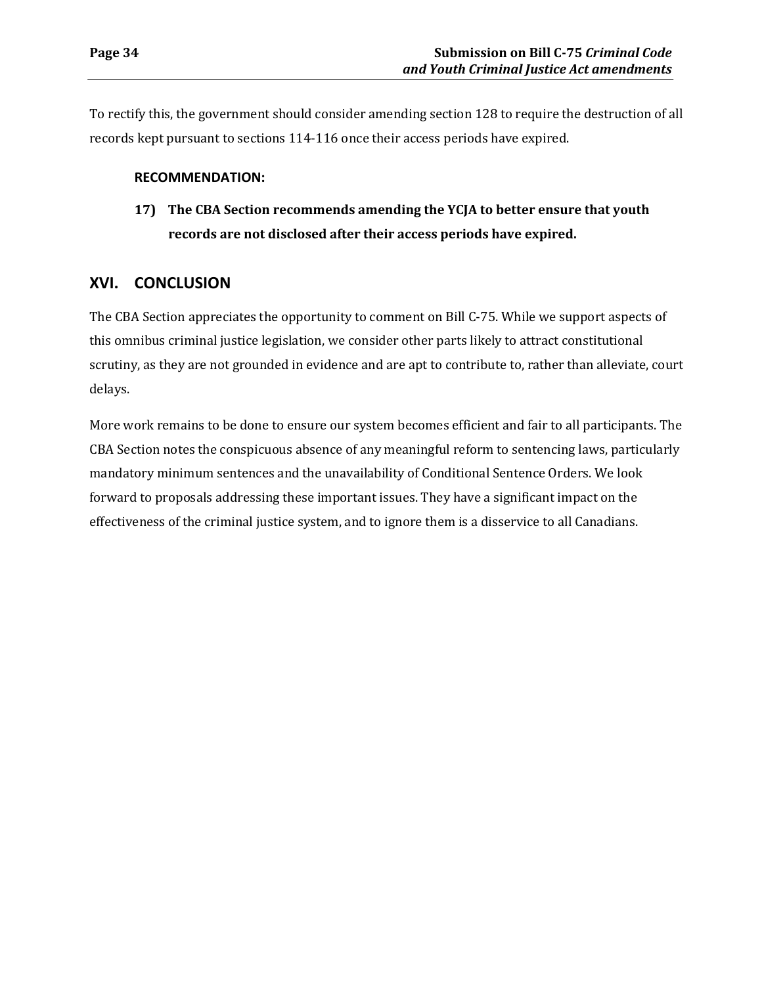To rectify this, the government should consider amending section 128 to require the destruction of all records kept pursuant to sections 114-116 once their access periods have expired.

#### **RECOMMENDATION:**

**17) The CBA Section recommends amending the YCJA to better ensure that youth records are not disclosed after their access periods have expired.**

### <span id="page-37-0"></span>**XVI. CONCLUSION**

The CBA Section appreciates the opportunity to comment on Bill C-75. While we support aspects of this omnibus criminal justice legislation, we consider other parts likely to attract constitutional scrutiny, as they are not grounded in evidence and are apt to contribute to, rather than alleviate, court delays.

More work remains to be done to ensure our system becomes efficient and fair to all participants. The CBA Section notes the conspicuous absence of any meaningful reform to sentencing laws, particularly mandatory minimum sentences and the unavailability of Conditional Sentence Orders. We look forward to proposals addressing these important issues. They have a significant impact on the effectiveness of the criminal justice system, and to ignore them is a disservice to all Canadians.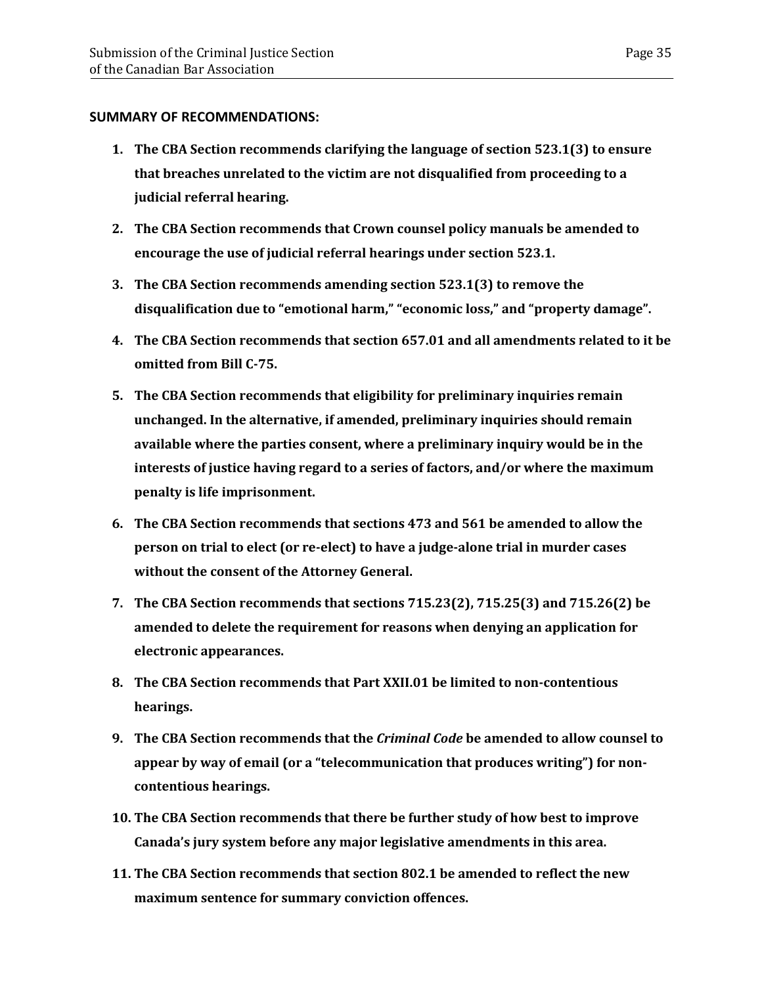#### **SUMMARY OF RECOMMENDATIONS:**

- **1. The CBA Section recommends clarifying the language of section 523.1(3) to ensure that breaches unrelated to the victim are not disqualified from proceeding to a judicial referral hearing.**
- **2. The CBA Section recommends that Crown counsel policy manuals be amended to encourage the use of judicial referral hearings under section 523.1.**
- **3. The CBA Section recommends amending section 523.1(3) to remove the disqualification due to "emotional harm," "economic loss," and "property damage".**
- **4. The CBA Section recommends that section 657.01 and all amendments related to it be omitted from Bill C-75.**
- **5. The CBA Section recommends that eligibility for preliminary inquiries remain unchanged. In the alternative, if amended, preliminary inquiries should remain available where the parties consent, where a preliminary inquiry would be in the interests of justice having regard to a series of factors, and/or where the maximum penalty is life imprisonment.**
- **6. The CBA Section recommends that sections 473 and 561 be amended to allow the person on trial to elect (or re-elect) to have a judge-alone trial in murder cases without the consent of the Attorney General.**
- **7. The CBA Section recommends that sections 715.23(2), 715.25(3) and 715.26(2) be amended to delete the requirement for reasons when denying an application for electronic appearances.**
- **8. The CBA Section recommends that Part XXII.01 be limited to non-contentious hearings.**
- **9. The CBA Section recommends that the** *Criminal Code* **be amended to allow counsel to appear by way of email (or a "telecommunication that produces writing") for noncontentious hearings.**
- **10. The CBA Section recommends that there be further study of how best to improve Canada's jury system before any major legislative amendments in this area.**
- **11. The CBA Section recommends that section 802.1 be amended to reflect the new maximum sentence for summary conviction offences.**